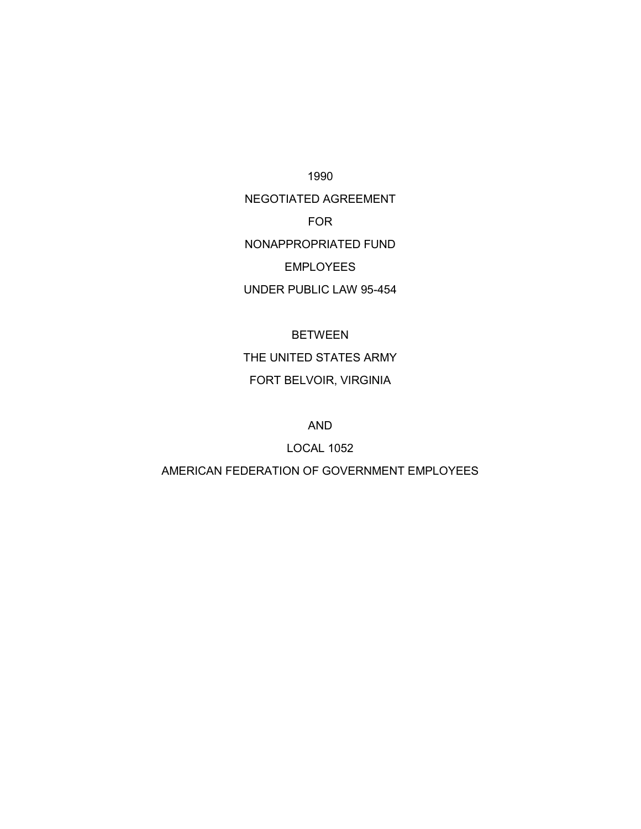1990

NEGOTIATED AGREEMENT FOR NONAPPROPRIATED FUND EMPLOYEES

UNDER PUBLIC LAW 95-454

BETWEEN THE UNITED STATES ARMY FORT BELVOIR, VIRGINIA

AND

LOCAL 1052

AMERICAN FEDERATION OF GOVERNMENT EMPLOYEES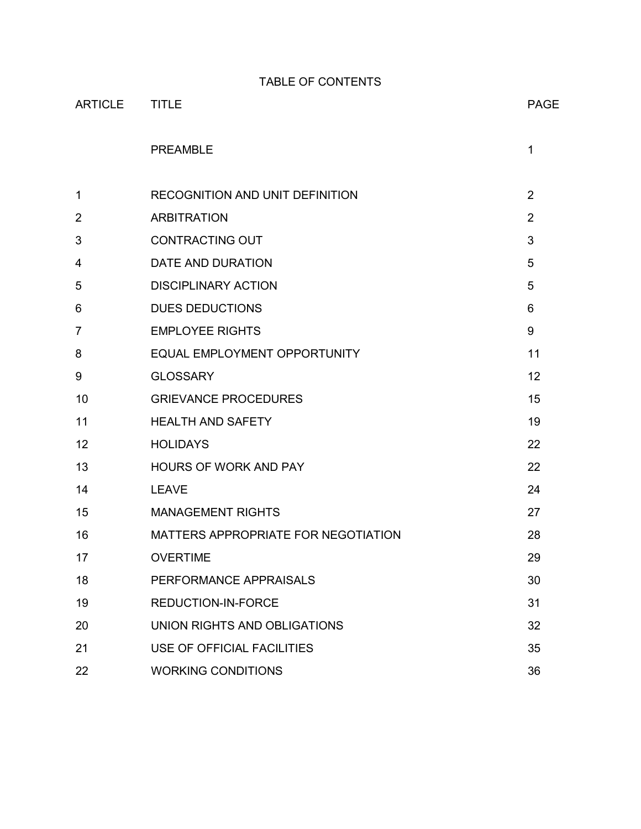TABLE OF CONTENTS

| <b>ARTICLE</b> | <b>TITLE</b>                        | <b>PAGE</b>    |
|----------------|-------------------------------------|----------------|
|                | <b>PREAMBLE</b>                     | $\mathbf 1$    |
| 1              | RECOGNITION AND UNIT DEFINITION     | $\overline{2}$ |
| $\overline{2}$ | <b>ARBITRATION</b>                  | $\overline{2}$ |
| 3              | <b>CONTRACTING OUT</b>              | 3              |
| 4              | DATE AND DURATION                   | 5              |
| 5              | <b>DISCIPLINARY ACTION</b>          | 5              |
| 6              | <b>DUES DEDUCTIONS</b>              | 6              |
| $\overline{7}$ | <b>EMPLOYEE RIGHTS</b>              | 9              |
| 8              | EQUAL EMPLOYMENT OPPORTUNITY        | 11             |
| 9              | <b>GLOSSARY</b>                     | 12             |
| 10             | <b>GRIEVANCE PROCEDURES</b>         | 15             |
| 11             | <b>HEALTH AND SAFETY</b>            | 19             |
| 12             | <b>HOLIDAYS</b>                     | 22             |
| 13             | <b>HOURS OF WORK AND PAY</b>        | 22             |
| 14             | <b>LEAVE</b>                        | 24             |
| 15             | <b>MANAGEMENT RIGHTS</b>            | 27             |
| 16             | MATTERS APPROPRIATE FOR NEGOTIATION | 28             |
| 17             | <b>OVERTIME</b>                     | 29             |
| 18             | PERFORMANCE APPRAISALS              | 30             |
| 19             | REDUCTION-IN-FORCE                  | 31             |
| 20             | UNION RIGHTS AND OBLIGATIONS        | 32             |
| 21             | USE OF OFFICIAL FACILITIES          | 35             |
| 22             | <b>WORKING CONDITIONS</b>           | 36             |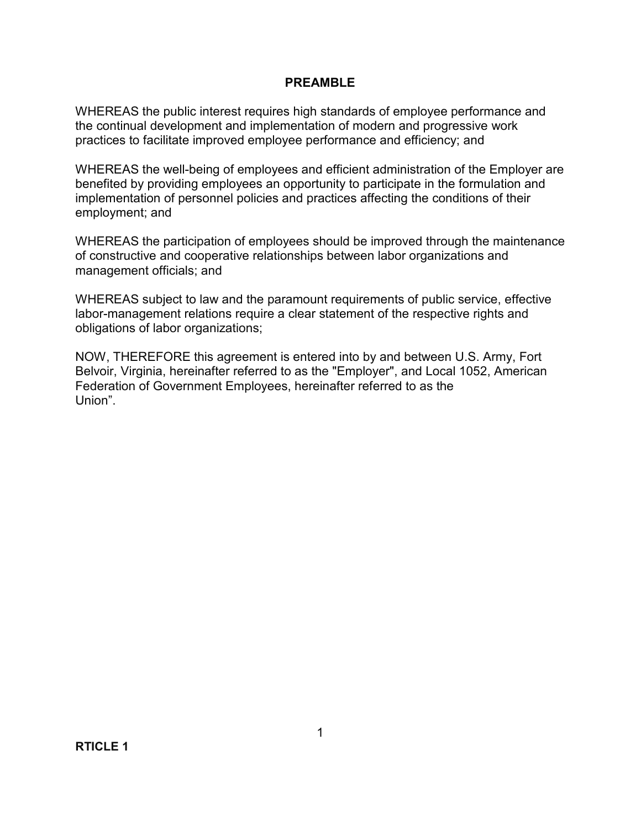#### **PREAMBLE**

WHEREAS the public interest requires high standards of employee performance and the continual development and implementation of modern and progressive work practices to facilitate improved employee performance and efficiency; and

WHEREAS the well-being of employees and efficient administration of the Employer are benefited by providing employees an opportunity to participate in the formulation and implementation of personnel policies and practices affecting the conditions of their employment; and

WHEREAS the participation of employees should be improved through the maintenance of constructive and cooperative relationships between labor organizations and management officials; and

WHEREAS subject to law and the paramount requirements of public service, effective labor-management relations require a clear statement of the respective rights and obligations of labor organizations;

NOW, THEREFORE this agreement is entered into by and between U.S. Army, Fort Belvoir, Virginia, hereinafter referred to as the "Employer", and Local 1052, American Federation of Government Employees, hereinafter referred to as the Union".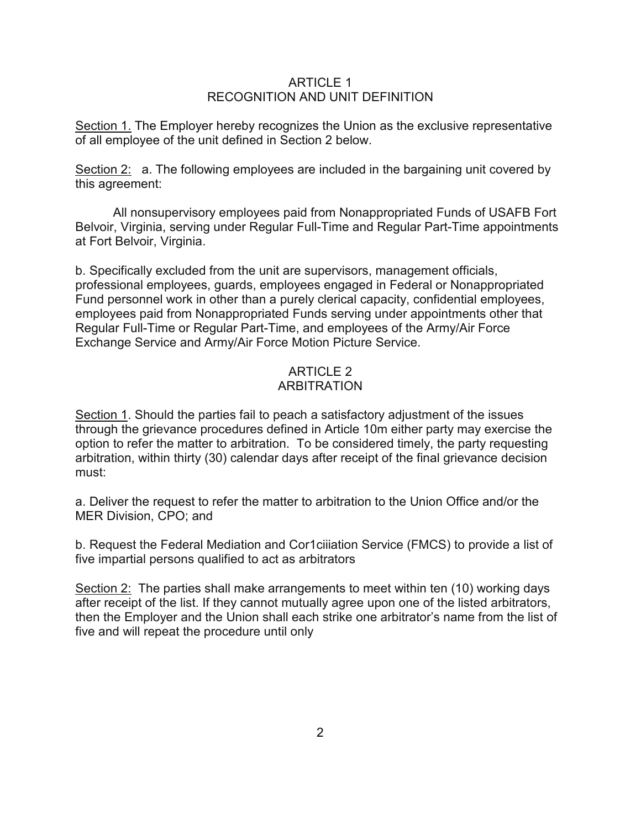#### ARTICLE 1 RECOGNITION AND UNIT DEFINITION

Section 1. The Employer hereby recognizes the Union as the exclusive representative of all employee of the unit defined in Section 2 below.

Section 2: a. The following employees are included in the bargaining unit covered by this agreement:

All nonsupervisory employees paid from Nonappropriated Funds of USAFB Fort Belvoir, Virginia, serving under Regular Full-Time and Regular Part-Time appointments at Fort Belvoir, Virginia.

b. Specifically excluded from the unit are supervisors, management officials, professional employees, guards, employees engaged in Federal or Nonappropriated Fund personnel work in other than a purely clerical capacity, confidential employees, employees paid from Nonappropriated Funds serving under appointments other that Regular Full-Time or Regular Part-Time, and employees of the Army/Air Force Exchange Service and Army/Air Force Motion Picture Service.

# ARTICLE 2 ARBITRATION

Section 1. Should the parties fail to peach a satisfactory adjustment of the issues through the grievance procedures defined in Article 10m either party may exercise the option to refer the matter to arbitration. To be considered timely, the party requesting arbitration, within thirty (30) calendar days after receipt of the final grievance decision must:

a. Deliver the request to refer the matter to arbitration to the Union Office and/or the MER Division, CPO; and

b. Request the Federal Mediation and Cor1ciiiation Service (FMCS) to provide a list of five impartial persons qualified to act as arbitrators

Section 2: The parties shall make arrangements to meet within ten (10) working days after receipt of the list. If they cannot mutually agree upon one of the listed arbitrators, then the Employer and the Union shall each strike one arbitrator's name from the list of five and will repeat the procedure until only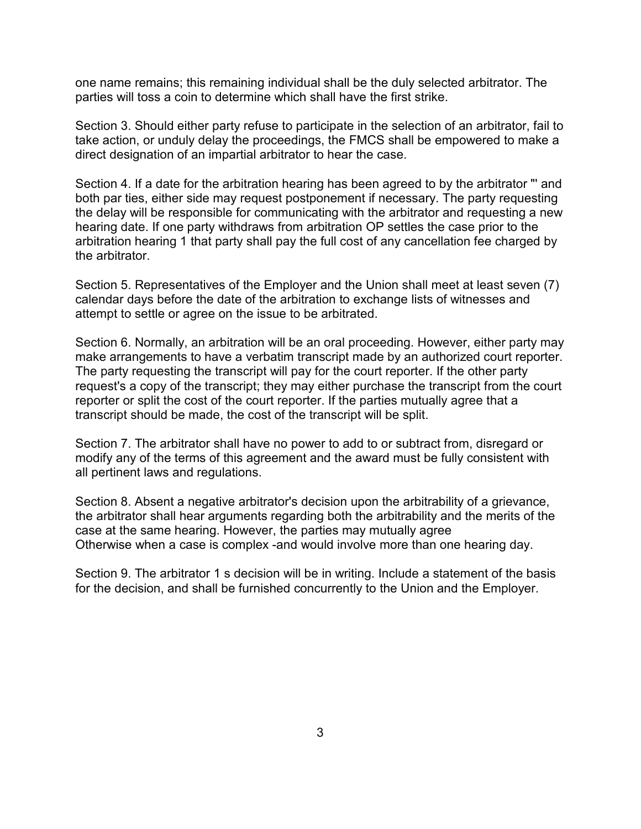one name remains; this remaining individual shall be the duly selected arbitrator. The parties will toss a coin to determine which shall have the first strike.

Section 3. Should either party refuse to participate in the selection of an arbitrator, fail to take action, or unduly delay the proceedings, the FMCS shall be empowered to make a direct designation of an impartial arbitrator to hear the case.

Section 4. If a date for the arbitration hearing has been agreed to by the arbitrator "' and both par ties, either side may request postponement if necessary. The party requesting the delay will be responsible for communicating with the arbitrator and requesting a new hearing date. If one party withdraws from arbitration OP settles the case prior to the arbitration hearing 1 that party shall pay the full cost of any cancellation fee charged by the arbitrator.

Section 5. Representatives of the Employer and the Union shall meet at least seven (7) calendar days before the date of the arbitration to exchange lists of witnesses and attempt to settle or agree on the issue to be arbitrated.

Section 6. Normally, an arbitration will be an oral proceeding. However, either party may make arrangements to have a verbatim transcript made by an authorized court reporter. The party requesting the transcript will pay for the court reporter. If the other party request's a copy of the transcript; they may either purchase the transcript from the court reporter or split the cost of the court reporter. If the parties mutually agree that a transcript should be made, the cost of the transcript will be split.

Section 7. The arbitrator shall have no power to add to or subtract from, disregard or modify any of the terms of this agreement and the award must be fully consistent with all pertinent laws and regulations.

Section 8. Absent a negative arbitrator's decision upon the arbitrability of a grievance, the arbitrator shall hear arguments regarding both the arbitrability and the merits of the case at the same hearing. However, the parties may mutually agree Otherwise when a case is complex -and would involve more than one hearing day.

Section 9. The arbitrator 1 s decision will be in writing. Include a statement of the basis for the decision, and shall be furnished concurrently to the Union and the Employer.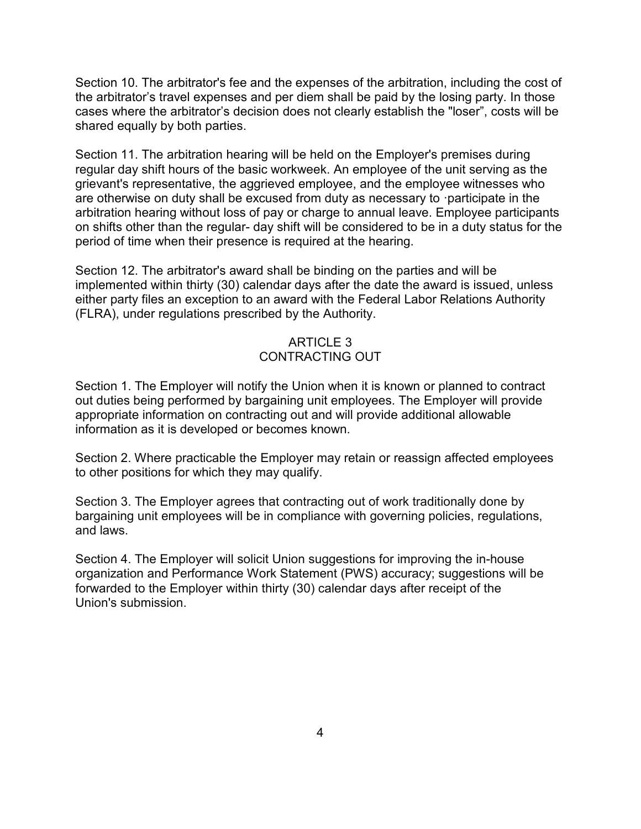Section 10. The arbitrator's fee and the expenses of the arbitration, including the cost of the arbitrator's travel expenses and per diem shall be paid by the losing party. In those cases where the arbitrator's decision does not clearly establish the "loser", costs will be shared equally by both parties.

Section 11. The arbitration hearing will be held on the Employer's premises during regular day shift hours of the basic workweek. An employee of the unit serving as the grievant's representative, the aggrieved employee, and the employee witnesses who are otherwise on duty shall be excused from duty as necessary to ·participate in the arbitration hearing without loss of pay or charge to annual leave. Employee participants on shifts other than the regular- day shift will be considered to be in a duty status for the period of time when their presence is required at the hearing.

Section 12. The arbitrator's award shall be binding on the parties and will be implemented within thirty (30) calendar days after the date the award is issued, unless either party files an exception to an award with the Federal Labor Relations Authority (FLRA), under regulations prescribed by the Authority.

## ARTICLE 3 CONTRACTING OUT

Section 1. The Employer will notify the Union when it is known or planned to contract out duties being performed by bargaining unit employees. The Employer will provide appropriate information on contracting out and will provide additional allowable information as it is developed or becomes known.

Section 2. Where practicable the Employer may retain or reassign affected employees to other positions for which they may qualify.

Section 3. The Employer agrees that contracting out of work traditionally done by bargaining unit employees will be in compliance with governing policies, regulations, and laws.

Section 4. The Employer will solicit Union suggestions for improving the in-house organization and Performance Work Statement (PWS) accuracy; suggestions will be forwarded to the Employer within thirty (30) calendar days after receipt of the Union's submission.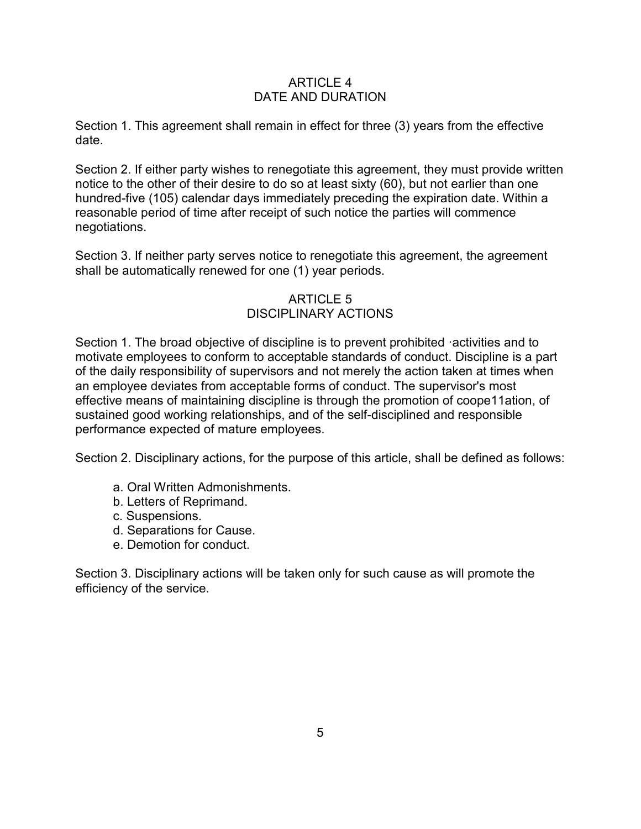### ARTICLE 4 DATE AND DURATION

Section 1. This agreement shall remain in effect for three (3) years from the effective date.

Section 2. If either party wishes to renegotiate this agreement, they must provide written notice to the other of their desire to do so at least sixty (60), but not earlier than one hundred-five (105) calendar days immediately preceding the expiration date. Within a reasonable period of time after receipt of such notice the parties will commence negotiations.

Section 3. If neither party serves notice to renegotiate this agreement, the agreement shall be automatically renewed for one (1) year periods.

# ARTICLE 5 DISCIPLINARY ACTIONS

Section 1. The broad objective of discipline is to prevent prohibited ·activities and to motivate employees to conform to acceptable standards of conduct. Discipline is a part of the daily responsibility of supervisors and not merely the action taken at times when an employee deviates from acceptable forms of conduct. The supervisor's most effective means of maintaining discipline is through the promotion of coope11ation, of sustained good working relationships, and of the self-disciplined and responsible performance expected of mature employees.

Section 2. Disciplinary actions, for the purpose of this article, shall be defined as follows:

- a. Oral Written Admonishments.
- b. Letters of Reprimand.
- c. Suspensions.
- d. Separations for Cause.
- e. Demotion for conduct.

Section 3. Disciplinary actions will be taken only for such cause as will promote the efficiency of the service.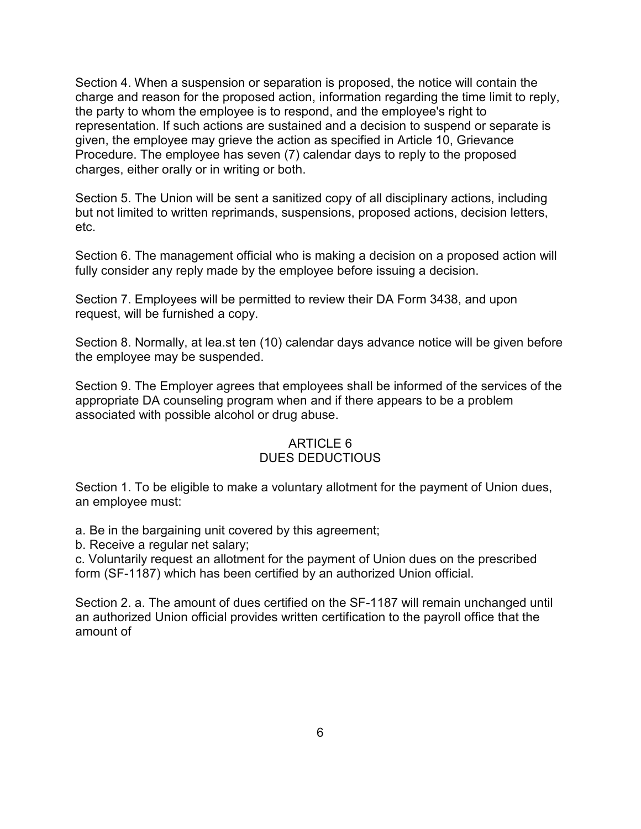Section 4. When a suspension or separation is proposed, the notice will contain the charge and reason for the proposed action, information regarding the time limit to reply, the party to whom the employee is to respond, and the employee's right to representation. If such actions are sustained and a decision to suspend or separate is given, the employee may grieve the action as specified in Article 10, Grievance Procedure. The employee has seven (7) calendar days to reply to the proposed charges, either orally or in writing or both.

Section 5. The Union will be sent a sanitized copy of all disciplinary actions, including but not limited to written reprimands, suspensions, proposed actions, decision letters, etc.

Section 6. The management official who is making a decision on a proposed action will fully consider any reply made by the employee before issuing a decision.

Section 7. Employees will be permitted to review their DA Form 3438, and upon request, will be furnished a copy.

Section 8. Normally, at lea.st ten (10) calendar days advance notice will be given before the employee may be suspended.

Section 9. The Employer agrees that employees shall be informed of the services of the appropriate DA counseling program when and if there appears to be a problem associated with possible alcohol or drug abuse.

#### ARTICLE 6 DUES DEDUCTIOUS

Section 1. To be eligible to make a voluntary allotment for the payment of Union dues, an employee must:

a. Be in the bargaining unit covered by this agreement;

b. Receive a regular net salary;

c. Voluntarily request an allotment for the payment of Union dues on the prescribed form (SF-1187) which has been certified by an authorized Union official.

Section 2. a. The amount of dues certified on the SF-1187 will remain unchanged until an authorized Union official provides written certification to the payroll office that the amount of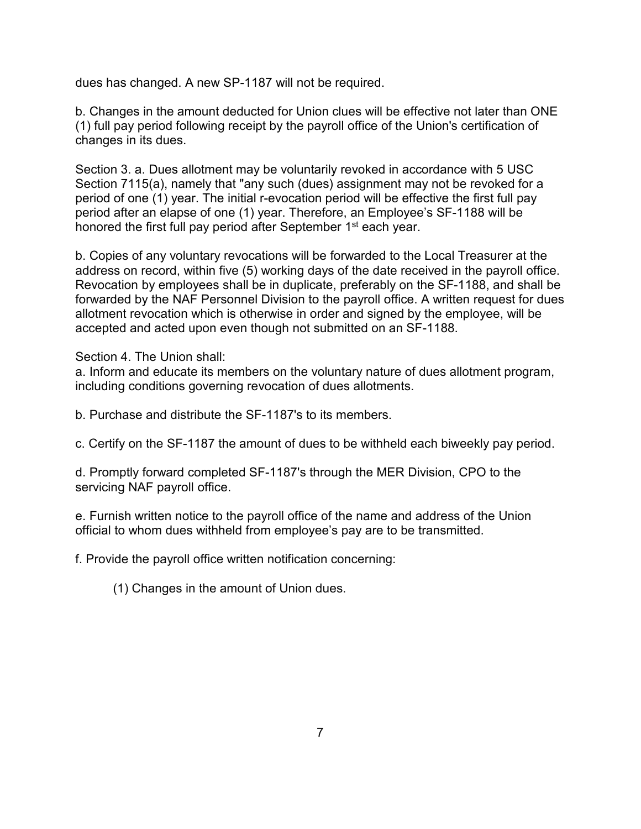dues has changed. A new SP-1187 will not be required.

b. Changes in the amount deducted for Union clues will be effective not later than ONE (1) full pay period following receipt by the payroll office of the Union's certification of changes in its dues.

Section 3. a. Dues allotment may be voluntarily revoked in accordance with 5 USC Section 7115(a), namely that "any such (dues) assignment may not be revoked for a period of one (1) year. The initial r-evocation period will be effective the first full pay period after an elapse of one (1) year. Therefore, an Employee's SF-1188 will be honored the first full pay period after September 1<sup>st</sup> each year.

b. Copies of any voluntary revocations will be forwarded to the Local Treasurer at the address on record, within five (5) working days of the date received in the payroll office. Revocation by employees shall be in duplicate, preferably on the SF-1188, and shall be forwarded by the NAF Personnel Division to the payroll office. A written request for dues allotment revocation which is otherwise in order and signed by the employee, will be accepted and acted upon even though not submitted on an SF-1188.

Section 4. The Union shall:

a. Inform and educate its members on the voluntary nature of dues allotment program, including conditions governing revocation of dues allotments.

b. Purchase and distribute the SF-1187's to its members.

c. Certify on the SF-1187 the amount of dues to be withheld each biweekly pay period.

d. Promptly forward completed SF-1187's through the MER Division, CPO to the servicing NAF payroll office.

e. Furnish written notice to the payroll office of the name and address of the Union official to whom dues withheld from employee's pay are to be transmitted.

f. Provide the payroll office written notification concerning:

(1) Changes in the amount of Union dues.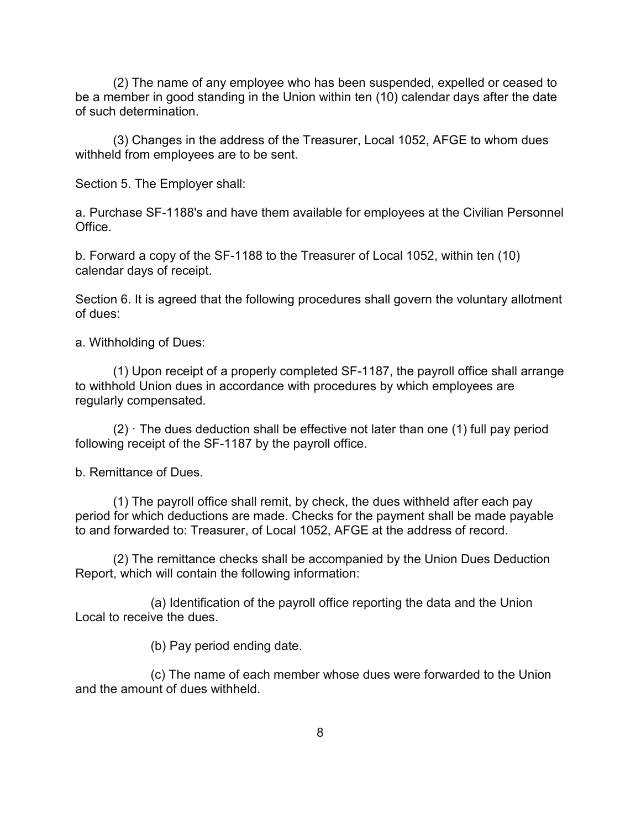(2) The name of any employee who has been suspended, expelled or ceased to be a member in good standing in the Union within ten (10) calendar days after the date of such determination.

(3) Changes in the address of the Treasurer, Local 1052, AFGE to whom dues withheld from employees are to be sent.

Section 5. The Employer shall:

a. Purchase SF-1188's and have them available for employees at the Civilian Personnel Office.

b. Forward a copy of the SF-1188 to the Treasurer of Local 1052, within ten (10) calendar days of receipt.

Section 6. It is agreed that the following procedures shall govern the voluntary allotment of dues:

a. Withholding of Dues:

(1) Upon receipt of a properly completed SF-1187, the payroll office shall arrange to withhold Union dues in accordance with procedures by which employees are regularly compensated.

 $(2)$   $\cdot$  The dues deduction shall be effective not later than one (1) full pay period following receipt of the SF-1187 by the payroll office.

b. Remittance of Dues.

(1) The payroll office shall remit, by check, the dues withheld after each pay period for which deductions are made. Checks for the payment shall be made payable to and forwarded to: Treasurer, of Local 1052, AFGE at the address of record.

(2) The remittance checks shall be accompanied by the Union Dues Deduction Report, which will contain the following information:

(a) Identification of the payroll office reporting the data and the Union Local to receive the dues.

(b) Pay period ending date.

(c) The name of each member whose dues were forwarded to the Union and the amount of dues withheld.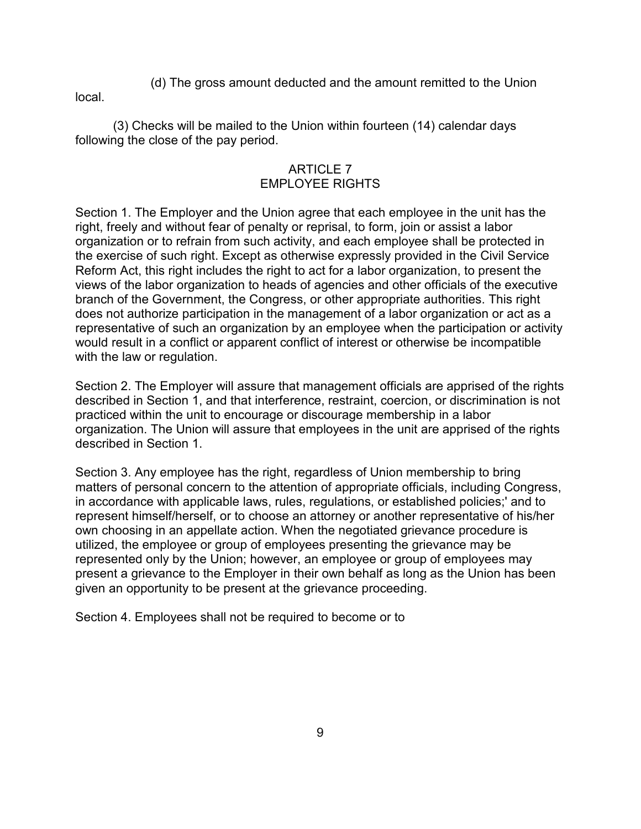(d) The gross amount deducted and the amount remitted to the Union

local.

(3) Checks will be mailed to the Union within fourteen (14) calendar days following the close of the pay period.

# ARTICLE 7 EMPLOYEE RIGHTS

Section 1. The Employer and the Union agree that each employee in the unit has the right, freely and without fear of penalty or reprisal, to form, join or assist a labor organization or to refrain from such activity, and each employee shall be protected in the exercise of such right. Except as otherwise expressly provided in the Civil Service Reform Act, this right includes the right to act for a labor organization, to present the views of the labor organization to heads of agencies and other officials of the executive branch of the Government, the Congress, or other appropriate authorities. This right does not authorize participation in the management of a labor organization or act as a representative of such an organization by an employee when the participation or activity would result in a conflict or apparent conflict of interest or otherwise be incompatible with the law or regulation.

Section 2. The Employer will assure that management officials are apprised of the rights described in Section 1, and that interference, restraint, coercion, or discrimination is not practiced within the unit to encourage or discourage membership in a labor organization. The Union will assure that employees in the unit are apprised of the rights described in Section 1.

Section 3. Any employee has the right, regardless of Union membership to bring matters of personal concern to the attention of appropriate officials, including Congress, in accordance with applicable laws, rules, regulations, or established policies;' and to represent himself/herself, or to choose an attorney or another representative of his/her own choosing in an appellate action. When the negotiated grievance procedure is utilized, the employee or group of employees presenting the grievance may be represented only by the Union; however, an employee or group of employees may present a grievance to the Employer in their own behalf as long as the Union has been given an opportunity to be present at the grievance proceeding.

Section 4. Employees shall not be required to become or to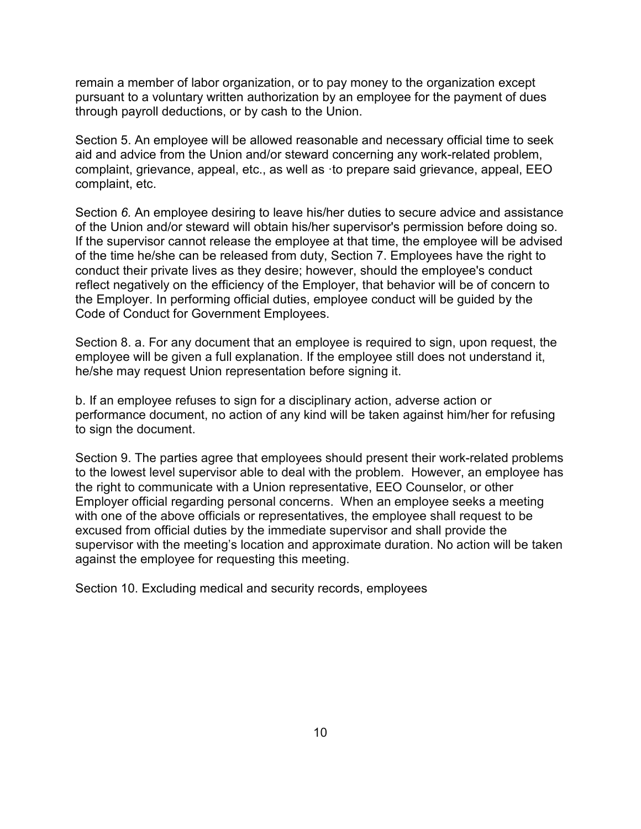remain a member of labor organization, or to pay money to the organization except pursuant to a voluntary written authorization by an employee for the payment of dues through payroll deductions, or by cash to the Union.

Section 5. An employee will be allowed reasonable and necessary official time to seek aid and advice from the Union and/or steward concerning any work-related problem, complaint, grievance, appeal, etc., as well as ·to prepare said grievance, appeal, EEO complaint, etc.

Section *6.* An employee desiring to leave his/her duties to secure advice and assistance of the Union and/or steward will obtain his/her supervisor's permission before doing so. If the supervisor cannot release the employee at that time, the employee will be advised of the time he/she can be released from duty, Section 7. Employees have the right to conduct their private lives as they desire; however, should the employee's conduct reflect negatively on the efficiency of the Employer, that behavior will be of concern to the Employer. In performing official duties, employee conduct will be guided by the Code of Conduct for Government Employees.

Section 8. a. For any document that an employee is required to sign, upon request, the employee will be given a full explanation. If the employee still does not understand it, he/she may request Union representation before signing it.

b. If an employee refuses to sign for a disciplinary action, adverse action or performance document, no action of any kind will be taken against him/her for refusing to sign the document.

Section 9. The parties agree that employees should present their work-related problems to the lowest level supervisor able to deal with the problem. However, an employee has the right to communicate with a Union representative, EEO Counselor, or other Employer official regarding personal concerns. When an employee seeks a meeting with one of the above officials or representatives, the employee shall request to be excused from official duties by the immediate supervisor and shall provide the supervisor with the meeting's location and approximate duration. No action will be taken against the employee for requesting this meeting.

Section 10. Excluding medical and security records, employees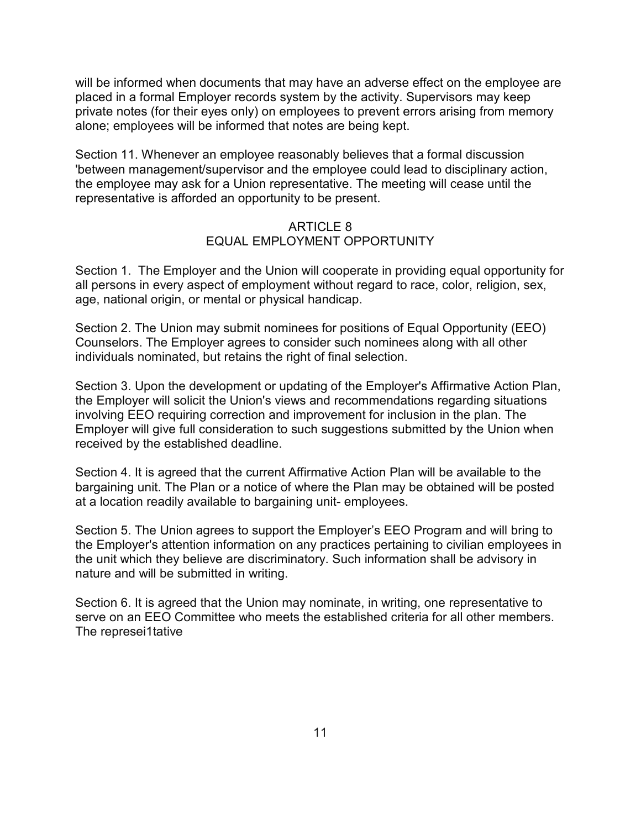will be informed when documents that may have an adverse effect on the employee are placed in a formal Employer records system by the activity. Supervisors may keep private notes (for their eyes only) on employees to prevent errors arising from memory alone; employees will be informed that notes are being kept.

Section 11. Whenever an employee reasonably believes that a formal discussion 'between management/supervisor and the employee could lead to disciplinary action, the employee may ask for a Union representative. The meeting will cease until the representative is afforded an opportunity to be present.

#### ARTICLE 8 EQUAL EMPLOYMENT OPPORTUNITY

Section 1. The Employer and the Union will cooperate in providing equal opportunity for all persons in every aspect of employment without regard to race, color, religion, sex, age, national origin, or mental or physical handicap.

Section 2. The Union may submit nominees for positions of Equal Opportunity (EEO) Counselors. The Employer agrees to consider such nominees along with all other individuals nominated, but retains the right of final selection.

Section 3. Upon the development or updating of the Employer's Affirmative Action Plan, the Employer will solicit the Union's views and recommendations regarding situations involving EEO requiring correction and improvement for inclusion in the plan. The Employer will give full consideration to such suggestions submitted by the Union when received by the established deadline.

Section 4. It is agreed that the current Affirmative Action Plan will be available to the bargaining unit. The Plan or a notice of where the Plan may be obtained will be posted at a location readily available to bargaining unit- employees.

Section 5. The Union agrees to support the Employer's EEO Program and will bring to the Employer's attention information on any practices pertaining to civilian employees in the unit which they believe are discriminatory. Such information shall be advisory in nature and will be submitted in writing.

Section 6. It is agreed that the Union may nominate, in writing, one representative to serve on an EEO Committee who meets the established criteria for all other members. The represei1tative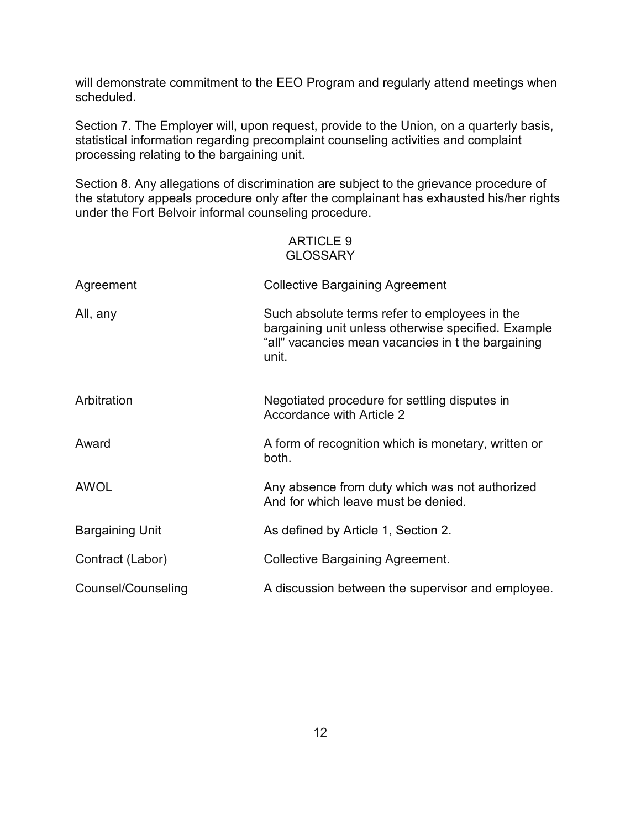will demonstrate commitment to the EEO Program and regularly attend meetings when scheduled.

Section 7. The Employer will, upon request, provide to the Union, on a quarterly basis, statistical information regarding precomplaint counseling activities and complaint processing relating to the bargaining unit.

Section 8. Any allegations of discrimination are subject to the grievance procedure of the statutory appeals procedure only after the complainant has exhausted his/her rights under the Fort Belvoir informal counseling procedure.

# ARTICLE 9 **GLOSSARY**

| Agreement              | <b>Collective Bargaining Agreement</b>                                                                                                                              |
|------------------------|---------------------------------------------------------------------------------------------------------------------------------------------------------------------|
| All, any               | Such absolute terms refer to employees in the<br>bargaining unit unless otherwise specified. Example<br>"all" vacancies mean vacancies in t the bargaining<br>unit. |
| Arbitration            | Negotiated procedure for settling disputes in<br>Accordance with Article 2                                                                                          |
| Award                  | A form of recognition which is monetary, written or<br>both.                                                                                                        |
| <b>AWOL</b>            | Any absence from duty which was not authorized<br>And for which leave must be denied.                                                                               |
| <b>Bargaining Unit</b> | As defined by Article 1, Section 2.                                                                                                                                 |
| Contract (Labor)       | <b>Collective Bargaining Agreement.</b>                                                                                                                             |
| Counsel/Counseling     | A discussion between the supervisor and employee.                                                                                                                   |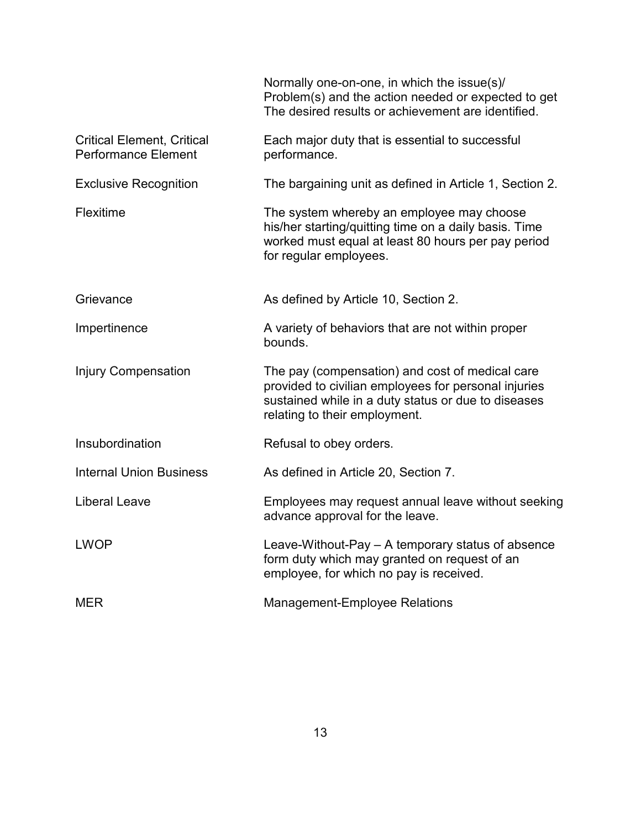|                                                                 | Normally one-on-one, in which the issue(s)/<br>Problem(s) and the action needed or expected to get<br>The desired results or achievement are identified.                                        |
|-----------------------------------------------------------------|-------------------------------------------------------------------------------------------------------------------------------------------------------------------------------------------------|
| <b>Critical Element, Critical</b><br><b>Performance Element</b> | Each major duty that is essential to successful<br>performance.                                                                                                                                 |
| <b>Exclusive Recognition</b>                                    | The bargaining unit as defined in Article 1, Section 2.                                                                                                                                         |
| Flexitime                                                       | The system whereby an employee may choose<br>his/her starting/quitting time on a daily basis. Time<br>worked must equal at least 80 hours per pay period<br>for regular employees.              |
| Grievance                                                       | As defined by Article 10, Section 2.                                                                                                                                                            |
| Impertinence                                                    | A variety of behaviors that are not within proper<br>bounds.                                                                                                                                    |
| <b>Injury Compensation</b>                                      | The pay (compensation) and cost of medical care<br>provided to civilian employees for personal injuries<br>sustained while in a duty status or due to diseases<br>relating to their employment. |
| Insubordination                                                 | Refusal to obey orders.                                                                                                                                                                         |
| <b>Internal Union Business</b>                                  | As defined in Article 20, Section 7.                                                                                                                                                            |
| <b>Liberal Leave</b>                                            | Employees may request annual leave without seeking<br>advance approval for the leave.                                                                                                           |
| <b>LWOP</b>                                                     | Leave-Without-Pay – A temporary status of absence<br>form duty which may granted on request of an<br>employee, for which no pay is received.                                                    |
| <b>MER</b>                                                      | <b>Management-Employee Relations</b>                                                                                                                                                            |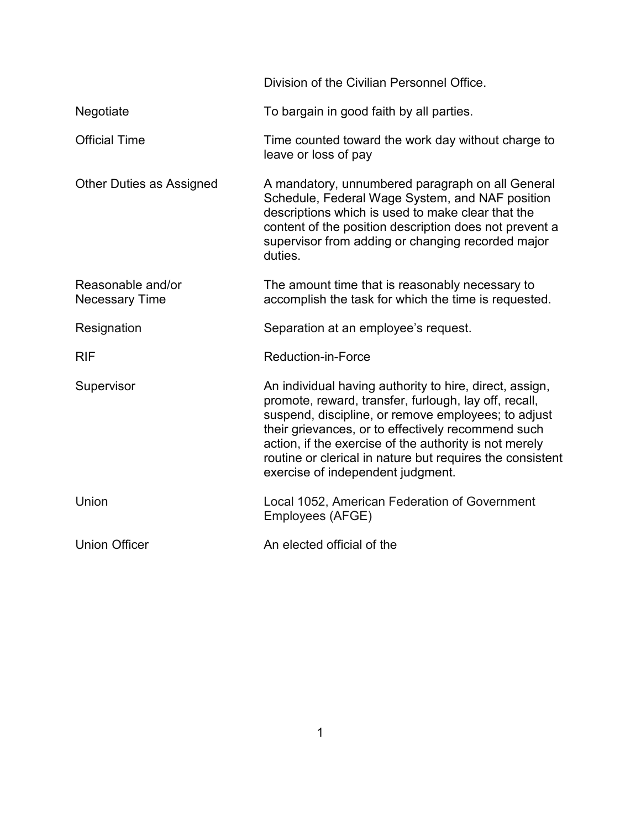|                                            | Division of the Civilian Personnel Office.                                                                                                                                                                                                                                                                                                                                                |
|--------------------------------------------|-------------------------------------------------------------------------------------------------------------------------------------------------------------------------------------------------------------------------------------------------------------------------------------------------------------------------------------------------------------------------------------------|
| Negotiate                                  | To bargain in good faith by all parties.                                                                                                                                                                                                                                                                                                                                                  |
| <b>Official Time</b>                       | Time counted toward the work day without charge to<br>leave or loss of pay                                                                                                                                                                                                                                                                                                                |
| <b>Other Duties as Assigned</b>            | A mandatory, unnumbered paragraph on all General<br>Schedule, Federal Wage System, and NAF position<br>descriptions which is used to make clear that the<br>content of the position description does not prevent a<br>supervisor from adding or changing recorded major<br>duties.                                                                                                        |
| Reasonable and/or<br><b>Necessary Time</b> | The amount time that is reasonably necessary to<br>accomplish the task for which the time is requested.                                                                                                                                                                                                                                                                                   |
| Resignation                                | Separation at an employee's request.                                                                                                                                                                                                                                                                                                                                                      |
| <b>RIF</b>                                 | <b>Reduction-in-Force</b>                                                                                                                                                                                                                                                                                                                                                                 |
| Supervisor                                 | An individual having authority to hire, direct, assign,<br>promote, reward, transfer, furlough, lay off, recall,<br>suspend, discipline, or remove employees; to adjust<br>their grievances, or to effectively recommend such<br>action, if the exercise of the authority is not merely<br>routine or clerical in nature but requires the consistent<br>exercise of independent judgment. |
| Union                                      | Local 1052, American Federation of Government<br>Employees (AFGE)                                                                                                                                                                                                                                                                                                                         |
| <b>Union Officer</b>                       | An elected official of the                                                                                                                                                                                                                                                                                                                                                                |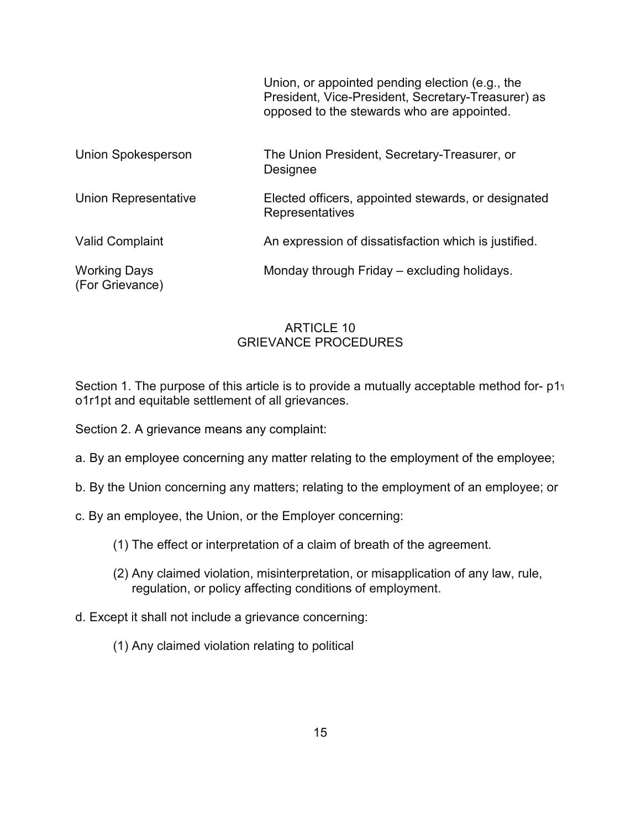|                                        | Union, or appointed pending election (e.g., the<br>President, Vice-President, Secretary-Treasurer) as<br>opposed to the stewards who are appointed. |
|----------------------------------------|-----------------------------------------------------------------------------------------------------------------------------------------------------|
| <b>Union Spokesperson</b>              | The Union President, Secretary-Treasurer, or<br>Designee                                                                                            |
| <b>Union Representative</b>            | Elected officers, appointed stewards, or designated<br>Representatives                                                                              |
| <b>Valid Complaint</b>                 | An expression of dissatisfaction which is justified.                                                                                                |
| <b>Working Days</b><br>(For Grievance) | Monday through Friday – excluding holidays.                                                                                                         |

### ARTICLE 10 GRIEVANCE PROCEDURES

Section 1. The purpose of this article is to provide a mutually acceptable method for- p1'l o1r1pt and equitable settlement of all grievances.

Section 2. A grievance means any complaint:

- a. By an employee concerning any matter relating to the employment of the employee;
- b. By the Union concerning any matters; relating to the employment of an employee; or
- c. By an employee, the Union, or the Employer concerning:
	- (1) The effect or interpretation of a claim of breath of the agreement.
	- (2) Any claimed violation, misinterpretation, or misapplication of any law, rule, regulation, or policy affecting conditions of employment.
- d. Except it shall not include a grievance concerning:
	- (1) Any claimed violation relating to political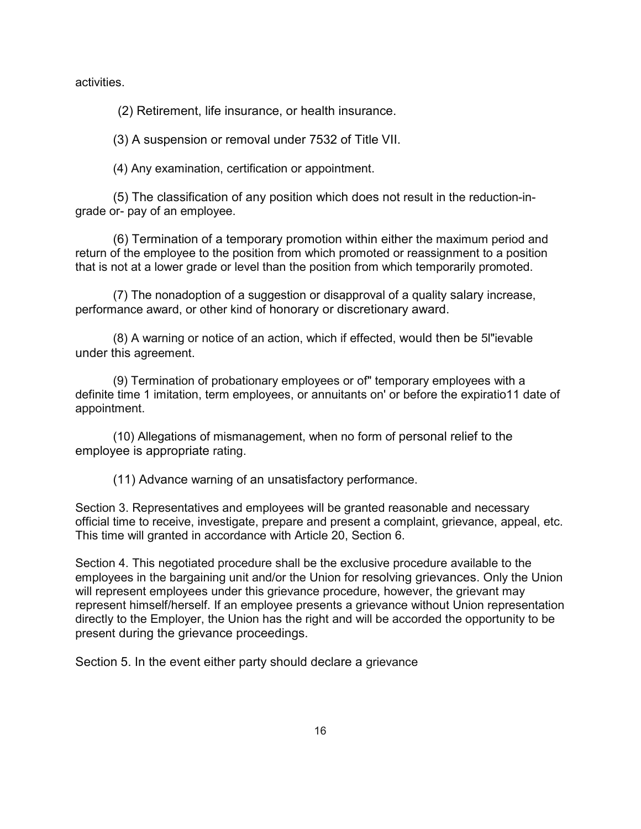activities.

(2) Retirement, life insurance, or health insurance.

(3) A suspension or removal under 7532 of Title VII.

(4) Any examination, certification or appointment.

(5) The classification of any position which does not result in the reduction-ingrade or- pay of an employee.

(6) Termination of a temporary promotion within either the maximum period and return of the employee to the position from which promoted or reassignment to a position that is not at a lower grade or level than the position from which temporarily promoted.

(7) The nonadoption of a suggestion or disapproval of a quality salary increase, performance award, or other kind of honorary or discretionary award.

(8) A warning or notice of an action, which if effected, would then be 5l"ievable under this agreement.

(9) Termination of probationary employees or of" temporary employees with a definite time 1 imitation, term employees, or annuitants on' or before the expiratio11 date of appointment.

(10) Allegations of mismanagement, when no form of personal relief to the employee is appropriate rating.

(11) Advance warning of an unsatisfactory performance.

Section 3. Representatives and employees will be granted reasonable and necessary official time to receive, investigate, prepare and present a complaint, grievance, appeal, etc. This time will granted in accordance with Article 20, Section 6.

Section 4. This negotiated procedure shall be the exclusive procedure available to the employees in the bargaining unit and/or the Union for resolving grievances. Only the Union will represent employees under this grievance procedure, however, the grievant may represent himself/herself. If an employee presents a grievance without Union representation directly to the Employer, the Union has the right and will be accorded the opportunity to be present during the grievance proceedings.

Section 5. In the event either party should declare a grievance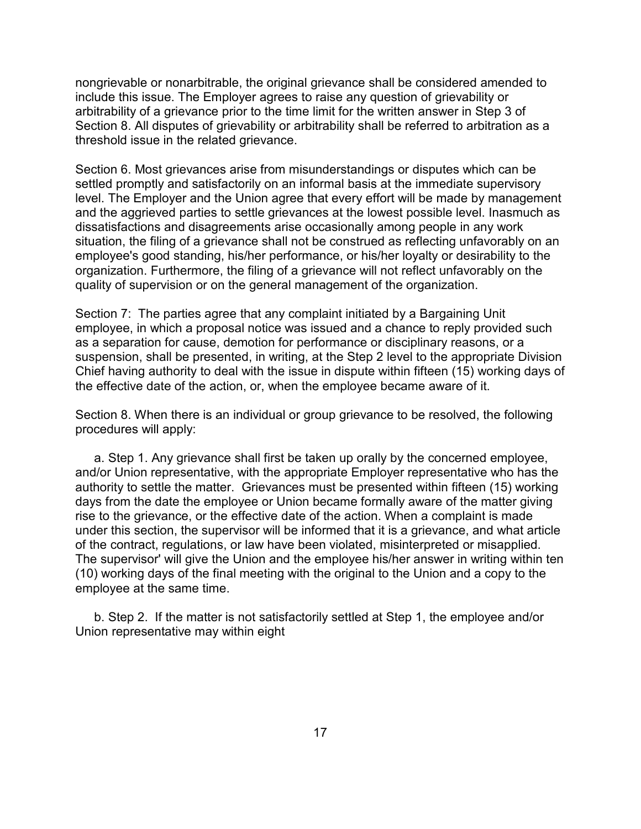nongrievable or nonarbitrable, the original grievance shall be considered amended to include this issue. The Employer agrees to raise any question of grievability or arbitrability of a grievance prior to the time limit for the written answer in Step 3 of Section 8. All disputes of grievability or arbitrability shall be referred to arbitration as a threshold issue in the related grievance.

Section 6. Most grievances arise from misunderstandings or disputes which can be settled promptly and satisfactorily on an informal basis at the immediate supervisory level. The Employer and the Union agree that every effort will be made by management and the aggrieved parties to settle grievances at the lowest possible level. Inasmuch as dissatisfactions and disagreements arise occasionally among people in any work situation, the filing of a grievance shall not be construed as reflecting unfavorably on an employee's good standing, his/her performance, or his/her loyalty or desirability to the organization. Furthermore, the filing of a grievance will not reflect unfavorably on the quality of supervision or on the general management of the organization.

Section 7: The parties agree that any complaint initiated by a Bargaining Unit employee, in which a proposal notice was issued and a chance to reply provided such as a separation for cause, demotion for performance or disciplinary reasons, or a suspension, shall be presented, in writing, at the Step 2 level to the appropriate Division Chief having authority to deal with the issue in dispute within fifteen (15) working days of the effective date of the action, or, when the employee became aware of it.

Section 8. When there is an individual or group grievance to be resolved, the following procedures will apply:

a. Step 1. Any grievance shall first be taken up orally by the concerned employee, and/or Union representative, with the appropriate Employer representative who has the authority to settle the matter. Grievances must be presented within fifteen (15) working days from the date the employee or Union became formally aware of the matter giving rise to the grievance, or the effective date of the action. When a complaint is made under this section, the supervisor will be informed that it is a grievance, and what article of the contract, regulations, or law have been violated, misinterpreted or misapplied. The supervisor' will give the Union and the employee his/her answer in writing within ten (10) working days of the final meeting with the original to the Union and a copy to the employee at the same time.

b. Step 2. If the matter is not satisfactorily settled at Step 1, the employee and/or Union representative may within eight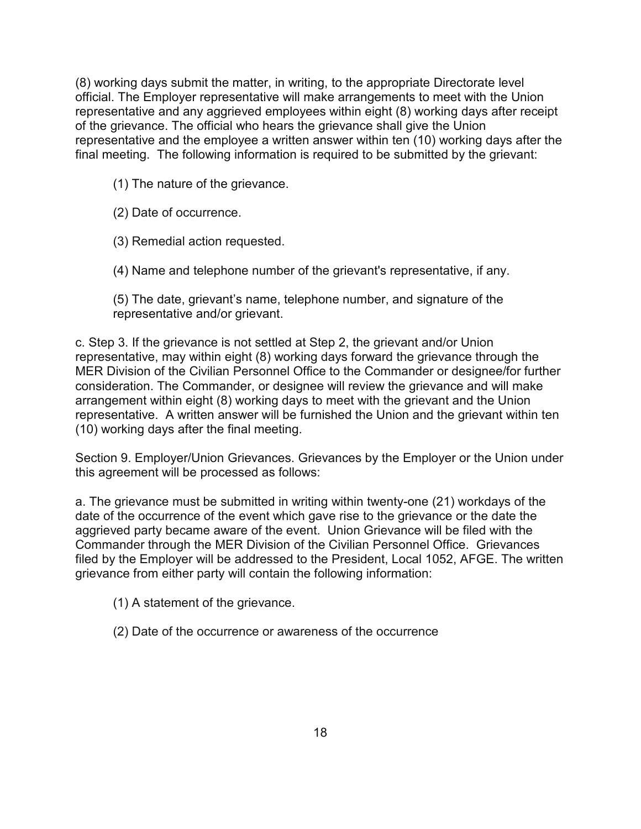(8) working days submit the matter, in writing, to the appropriate Directorate level official. The Employer representative will make arrangements to meet with the Union representative and any aggrieved employees within eight (8) working days after receipt of the grievance. The official who hears the grievance shall give the Union representative and the employee a written answer within ten (10) working days after the final meeting. The following information is required to be submitted by the grievant:

- (1) The nature of the grievance.
- (2) Date of occurrence.
- (3) Remedial action requested.
- (4) Name and telephone number of the grievant's representative, if any.

(5) The date, grievant's name, telephone number, and signature of the representative and/or grievant.

c. Step 3. If the grievance is not settled at Step 2, the grievant and/or Union representative, may within eight (8) working days forward the grievance through the MER Division of the Civilian Personnel Office to the Commander or designee/for further consideration. The Commander, or designee will review the grievance and will make arrangement within eight (8) working days to meet with the grievant and the Union representative. A written answer will be furnished the Union and the grievant within ten (10) working days after the final meeting.

Section 9. Employer/Union Grievances. Grievances by the Employer or the Union under this agreement will be processed as follows:

a. The grievance must be submitted in writing within twenty-one (21) workdays of the date of the occurrence of the event which gave rise to the grievance or the date the aggrieved party became aware of the event. Union Grievance will be filed with the Commander through the MER Division of the Civilian Personnel Office. Grievances filed by the Employer will be addressed to the President, Local 1052, AFGE. The written grievance from either party will contain the following information:

- (1) A statement of the grievance.
- (2) Date of the occurrence or awareness of the occurrence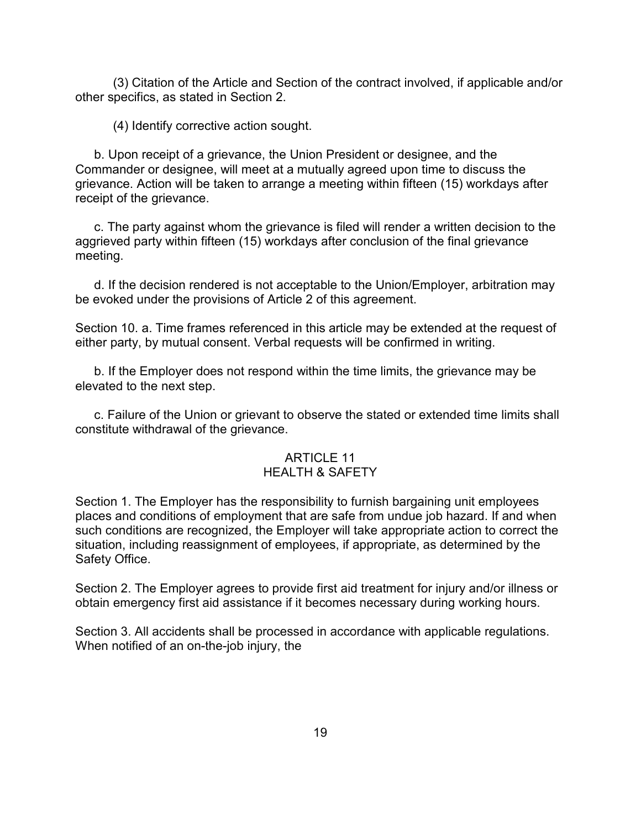(3) Citation of the Article and Section of the contract involved, if applicable and/or other specifics, as stated in Section 2.

(4) Identify corrective action sought.

b. Upon receipt of a grievance, the Union President or designee, and the Commander or designee, will meet at a mutually agreed upon time to discuss the grievance. Action will be taken to arrange a meeting within fifteen (15) workdays after receipt of the grievance.

c. The party against whom the grievance is filed will render a written decision to the aggrieved party within fifteen (15) workdays after conclusion of the final grievance meeting.

d. If the decision rendered is not acceptable to the Union/Employer, arbitration may be evoked under the provisions of Article 2 of this agreement.

Section 10. a. Time frames referenced in this article may be extended at the request of either party, by mutual consent. Verbal requests will be confirmed in writing.

b. If the Employer does not respond within the time limits, the grievance may be elevated to the next step.

c. Failure of the Union or grievant to observe the stated or extended time limits shall constitute withdrawal of the grievance.

# ARTICLE 11

### HEALTH & SAFETY

Section 1. The Employer has the responsibility to furnish bargaining unit employees places and conditions of employment that are safe from undue job hazard. If and when such conditions are recognized, the Employer will take appropriate action to correct the situation, including reassignment of employees, if appropriate, as determined by the Safety Office.

Section 2. The Employer agrees to provide first aid treatment for injury and/or illness or obtain emergency first aid assistance if it becomes necessary during working hours.

Section 3. All accidents shall be processed in accordance with applicable regulations. When notified of an on-the-job injury, the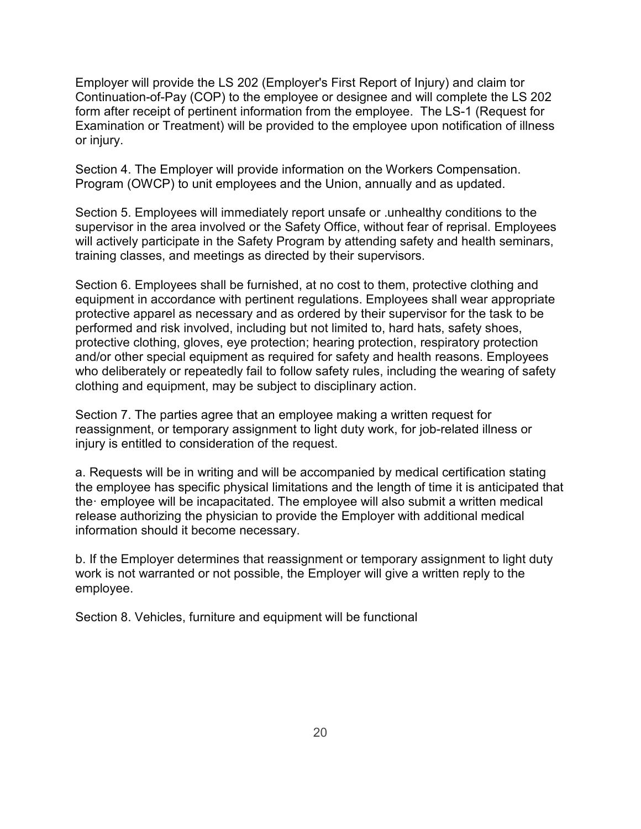Employer will provide the LS 202 (Employer's First Report of Injury) and claim tor Continuation-of-Pay (COP) to the employee or designee and will complete the LS 202 form after receipt of pertinent information from the employee. The LS-1 (Request for Examination or Treatment) will be provided to the employee upon notification of illness or injury.

Section 4. The Employer will provide information on the Workers Compensation. Program (OWCP) to unit employees and the Union, annually and as updated.

Section 5. Employees will immediately report unsafe or .unhealthy conditions to the supervisor in the area involved or the Safety Office, without fear of reprisal. Employees will actively participate in the Safety Program by attending safety and health seminars, training classes, and meetings as directed by their supervisors.

Section 6. Employees shall be furnished, at no cost to them, protective clothing and equipment in accordance with pertinent regulations. Employees shall wear appropriate protective apparel as necessary and as ordered by their supervisor for the task to be performed and risk involved, including but not limited to, hard hats, safety shoes, protective clothing, gloves, eye protection; hearing protection, respiratory protection and/or other special equipment as required for safety and health reasons. Employees who deliberately or repeatedly fail to follow safety rules, including the wearing of safety clothing and equipment, may be subject to disciplinary action.

Section 7. The parties agree that an employee making a written request for reassignment, or temporary assignment to light duty work, for job-related illness or injury is entitled to consideration of the request.

a. Requests will be in writing and will be accompanied by medical certification stating the employee has specific physical limitations and the length of time it is anticipated that the· employee will be incapacitated. The employee will also submit a written medical release authorizing the physician to provide the Employer with additional medical information should it become necessary.

b. If the Employer determines that reassignment or temporary assignment to light duty work is not warranted or not possible, the Employer will give a written reply to the employee.

Section 8. Vehicles, furniture and equipment will be functional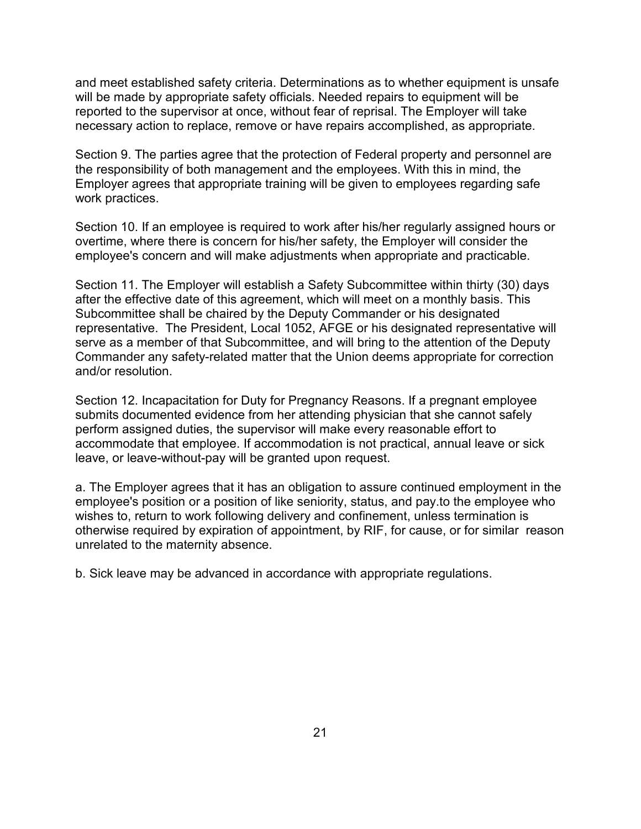and meet established safety criteria. Determinations as to whether equipment is unsafe will be made by appropriate safety officials. Needed repairs to equipment will be reported to the supervisor at once, without fear of reprisal. The Employer will take necessary action to replace, remove or have repairs accomplished, as appropriate.

Section 9. The parties agree that the protection of Federal property and personnel are the responsibility of both management and the employees. With this in mind, the Employer agrees that appropriate training will be given to employees regarding safe work practices.

Section 10. If an employee is required to work after his/her regularly assigned hours or overtime, where there is concern for his/her safety, the Employer will consider the employee's concern and will make adjustments when appropriate and practicable.

Section 11. The Employer will establish a Safety Subcommittee within thirty (30) days after the effective date of this agreement, which will meet on a monthly basis. This Subcommittee shall be chaired by the Deputy Commander or his designated representative. The President, Local 1052, AFGE or his designated representative will serve as a member of that Subcommittee, and will bring to the attention of the Deputy Commander any safety-related matter that the Union deems appropriate for correction and/or resolution.

Section 12. Incapacitation for Duty for Pregnancy Reasons. If a pregnant employee submits documented evidence from her attending physician that she cannot safely perform assigned duties, the supervisor will make every reasonable effort to accommodate that employee. If accommodation is not practical, annual leave or sick leave, or leave-without-pay will be granted upon request.

a. The Employer agrees that it has an obligation to assure continued employment in the employee's position or a position of like seniority, status, and pay.to the employee who wishes to, return to work following delivery and confinement, unless termination is otherwise required by expiration of appointment, by RIF, for cause, or for similar reason unrelated to the maternity absence.

b. Sick leave may be advanced in accordance with appropriate regulations.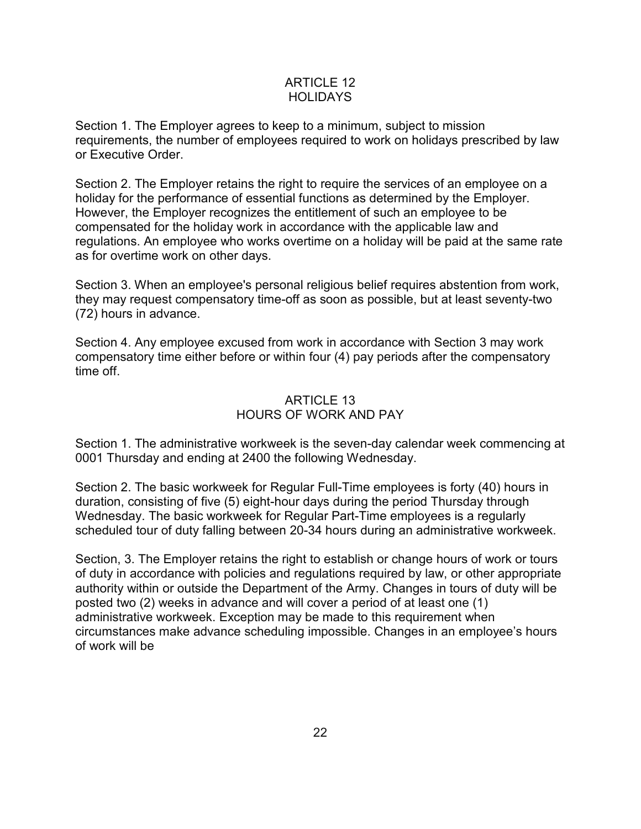### ARTICLE 12 **HOLIDAYS**

Section 1. The Employer agrees to keep to a minimum, subject to mission requirements, the number of employees required to work on holidays prescribed by law or Executive Order.

Section 2. The Employer retains the right to require the services of an employee on a holiday for the performance of essential functions as determined by the Employer. However, the Employer recognizes the entitlement of such an employee to be compensated for the holiday work in accordance with the applicable law and regulations. An employee who works overtime on a holiday will be paid at the same rate as for overtime work on other days.

Section 3. When an employee's personal religious belief requires abstention from work, they may request compensatory time-off as soon as possible, but at least seventy-two (72) hours in advance.

Section 4. Any employee excused from work in accordance with Section 3 may work compensatory time either before or within four (4) pay periods after the compensatory time off.

## ARTICLE 13 HOURS OF WORK AND PAY

Section 1. The administrative workweek is the seven-day calendar week commencing at 0001 Thursday and ending at 2400 the following Wednesday.

Section 2. The basic workweek for Regular Full-Time employees is forty (40) hours in duration, consisting of five (5) eight-hour days during the period Thursday through Wednesday. The basic workweek for Regular Part-Time employees is a regularly scheduled tour of duty falling between 20-34 hours during an administrative workweek.

Section, 3. The Employer retains the right to establish or change hours of work or tours of duty in accordance with policies and regulations required by law, or other appropriate authority within or outside the Department of the Army. Changes in tours of duty will be posted two (2) weeks in advance and will cover a period of at least one (1) administrative workweek. Exception may be made to this requirement when circumstances make advance scheduling impossible. Changes in an employee's hours of work will be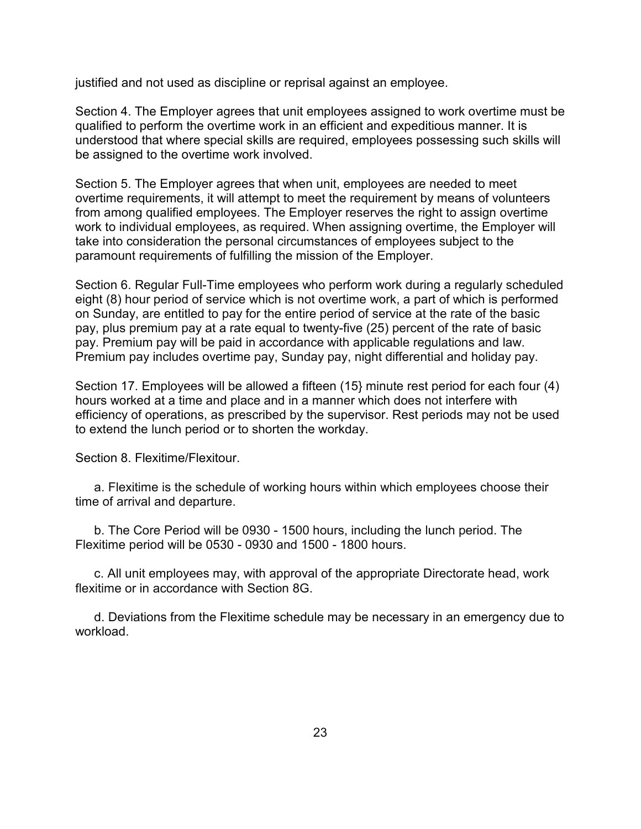justified and not used as discipline or reprisal against an employee.

Section 4. The Employer agrees that unit employees assigned to work overtime must be qualified to perform the overtime work in an efficient and expeditious manner. It is understood that where special skills are required, employees possessing such skills will be assigned to the overtime work involved.

Section 5. The Employer agrees that when unit, employees are needed to meet overtime requirements, it will attempt to meet the requirement by means of volunteers from among qualified employees. The Employer reserves the right to assign overtime work to individual employees, as required. When assigning overtime, the Employer will take into consideration the personal circumstances of employees subject to the paramount requirements of fulfilling the mission of the Employer.

Section 6. Regular Full-Time employees who perform work during a regularly scheduled eight (8) hour period of service which is not overtime work, a part of which is performed on Sunday, are entitled to pay for the entire period of service at the rate of the basic pay, plus premium pay at a rate equal to twenty-five (25) percent of the rate of basic pay. Premium pay will be paid in accordance with applicable regulations and law. Premium pay includes overtime pay, Sunday pay, night differential and holiday pay.

Section 17. Employees will be allowed a fifteen (15} minute rest period for each four (4) hours worked at a time and place and in a manner which does not interfere with efficiency of operations, as prescribed by the supervisor. Rest periods may not be used to extend the lunch period or to shorten the workday.

Section 8. Flexitime/Flexitour.

a. Flexitime is the schedule of working hours within which employees choose their time of arrival and departure.

b. The Core Period will be 0930 - 1500 hours, including the lunch period. The Flexitime period will be 0530 - 0930 and 1500 - 1800 hours.

c. All unit employees may, with approval of the appropriate Directorate head, work flexitime or in accordance with Section 8G.

d. Deviations from the Flexitime schedule may be necessary in an emergency due to workload.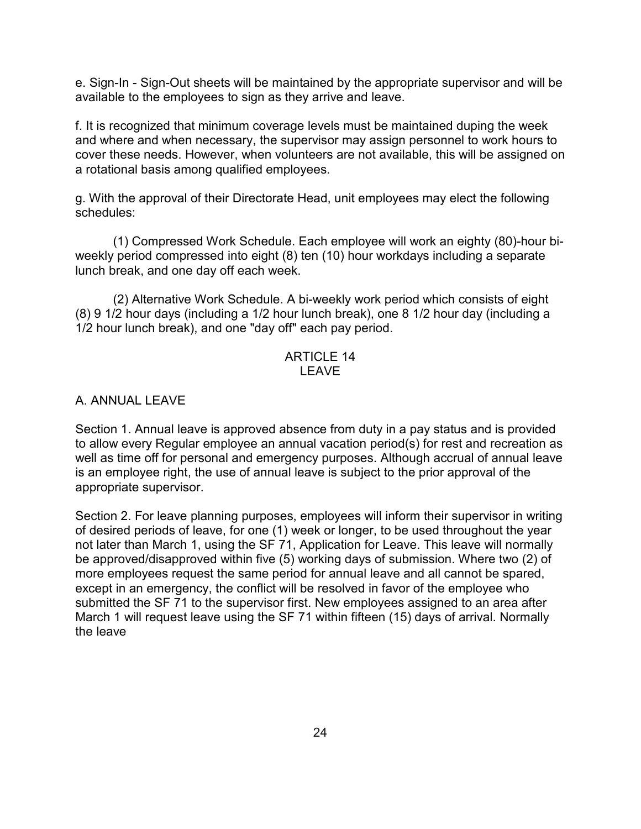e. Sign-In - Sign-Out sheets will be maintained by the appropriate supervisor and will be available to the employees to sign as they arrive and leave.

f. It is recognized that minimum coverage levels must be maintained duping the week and where and when necessary, the supervisor may assign personnel to work hours to cover these needs. However, when volunteers are not available, this will be assigned on a rotational basis among qualified employees.

g. With the approval of their Directorate Head, unit employees may elect the following schedules:

(1) Compressed Work Schedule. Each employee will work an eighty (80)-hour biweekly period compressed into eight (8) ten (10) hour workdays including a separate lunch break, and one day off each week.

(2) Alternative Work Schedule. A bi-weekly work period which consists of eight (8) 9 1/2 hour days (including a 1/2 hour lunch break), one 8 1/2 hour day (including a 1/2 hour lunch break), and one "day off" each pay period.

### ARTICLE 14 LEAVE

### A. ANNUAL LEAVE

Section 1. Annual leave is approved absence from duty in a pay status and is provided to allow every Regular employee an annual vacation period(s) for rest and recreation as well as time off for personal and emergency purposes. Although accrual of annual leave is an employee right, the use of annual leave is subject to the prior approval of the appropriate supervisor.

Section 2. For leave planning purposes, employees will inform their supervisor in writing of desired periods of leave, for one (1) week or longer, to be used throughout the year not later than March 1, using the SF 71, Application for Leave. This leave will normally be approved/disapproved within five (5) working days of submission. Where two (2) of more employees request the same period for annual leave and all cannot be spared, except in an emergency, the conflict will be resolved in favor of the employee who submitted the SF 71 to the supervisor first. New employees assigned to an area after March 1 will request leave using the SF 71 within fifteen (15) days of arrival. Normally the leave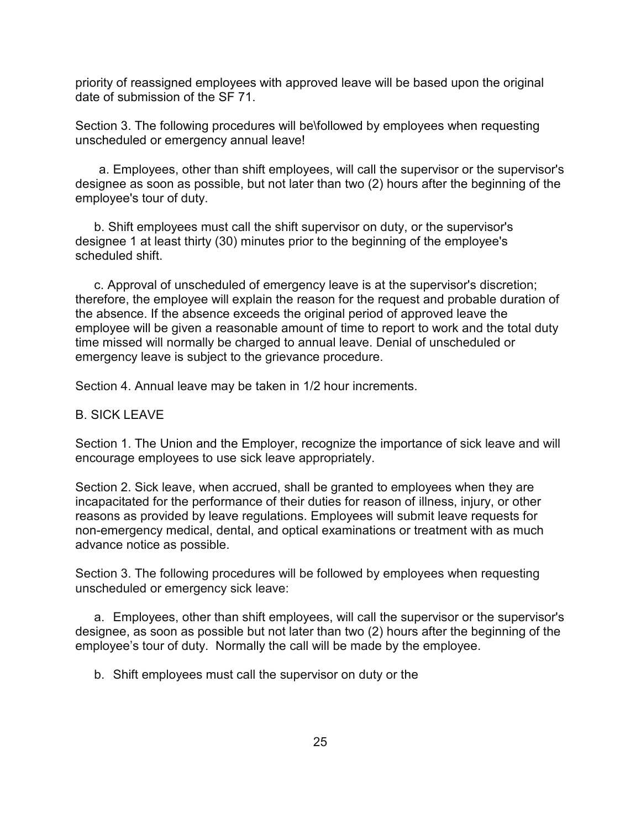priority of reassigned employees with approved leave will be based upon the original date of submission of the SF 71.

Section 3. The following procedures will be\followed by employees when requesting unscheduled or emergency annual leave!

a. Employees, other than shift employees, will call the supervisor or the supervisor's designee as soon as possible, but not later than two (2) hours after the beginning of the employee's tour of duty.

b. Shift employees must call the shift supervisor on duty, or the supervisor's designee 1 at least thirty (30) minutes prior to the beginning of the employee's scheduled shift.

c. Approval of unscheduled of emergency leave is at the supervisor's discretion; therefore, the employee will explain the reason for the request and probable duration of the absence. If the absence exceeds the original period of approved leave the employee will be given a reasonable amount of time to report to work and the total duty time missed will normally be charged to annual leave. Denial of unscheduled or emergency leave is subject to the grievance procedure.

Section 4. Annual leave may be taken in 1/2 hour increments.

#### B. SICK LEAVE

Section 1. The Union and the Employer, recognize the importance of sick leave and will encourage employees to use sick leave appropriately.

Section 2. Sick leave, when accrued, shall be granted to employees when they are incapacitated for the performance of their duties for reason of illness, injury, or other reasons as provided by leave regulations. Employees will submit leave requests for non-emergency medical, dental, and optical examinations or treatment with as much advance notice as possible.

Section 3. The following procedures will be followed by employees when requesting unscheduled or emergency sick leave:

a. Employees, other than shift employees, will call the supervisor or the supervisor's designee, as soon as possible but not later than two (2) hours after the beginning of the employee's tour of duty. Normally the call will be made by the employee.

b. Shift employees must call the supervisor on duty or the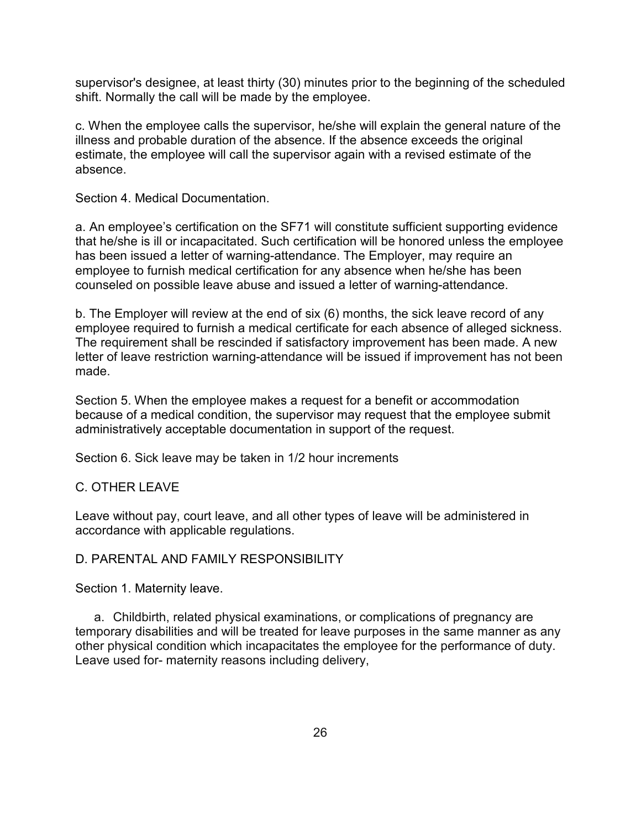supervisor's designee, at least thirty (30) minutes prior to the beginning of the scheduled shift. Normally the call will be made by the employee.

c. When the employee calls the supervisor, he/she will explain the general nature of the illness and probable duration of the absence. If the absence exceeds the original estimate, the employee will call the supervisor again with a revised estimate of the absence.

Section 4. Medical Documentation.

a. An employee's certification on the SF71 will constitute sufficient supporting evidence that he/she is ill or incapacitated. Such certification will be honored unless the employee has been issued a letter of warning-attendance. The Employer, may require an employee to furnish medical certification for any absence when he/she has been counseled on possible leave abuse and issued a letter of warning-attendance.

b. The Employer will review at the end of six (6) months, the sick leave record of any employee required to furnish a medical certificate for each absence of alleged sickness. The requirement shall be rescinded if satisfactory improvement has been made. A new letter of leave restriction warning-attendance will be issued if improvement has not been made.

Section 5. When the employee makes a request for a benefit or accommodation because of a medical condition, the supervisor may request that the employee submit administratively acceptable documentation in support of the request.

Section 6. Sick leave may be taken in 1/2 hour increments

#### C. OTHER LEAVE

Leave without pay, court leave, and all other types of leave will be administered in accordance with applicable regulations.

#### D. PARENTAL AND FAMILY RESPONSIBILITY

Section 1. Maternity leave.

a. Childbirth, related physical examinations, or complications of pregnancy are temporary disabilities and will be treated for leave purposes in the same manner as any other physical condition which incapacitates the employee for the performance of duty. Leave used for- maternity reasons including delivery,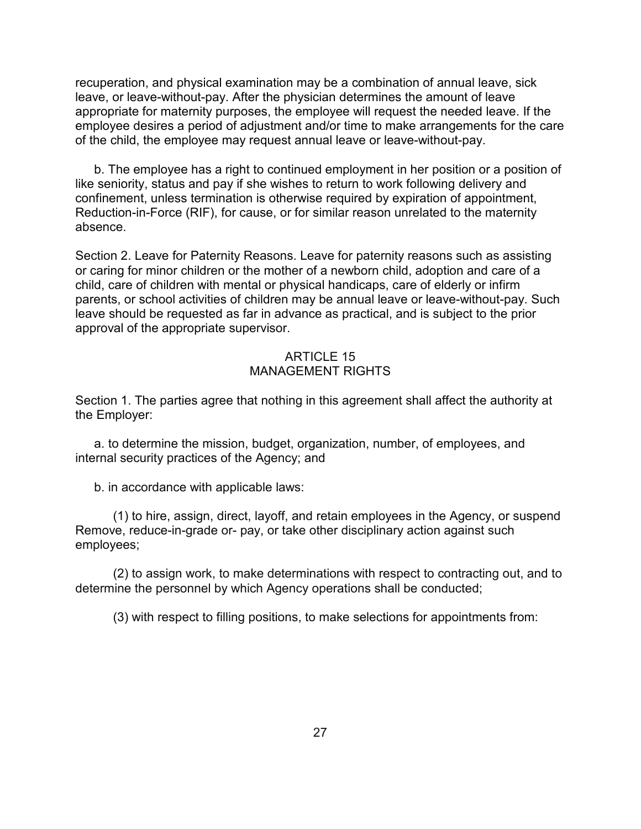recuperation, and physical examination may be a combination of annual leave, sick leave, or leave-without-pay. After the physician determines the amount of leave appropriate for maternity purposes, the employee will request the needed leave. If the employee desires a period of adjustment and/or time to make arrangements for the care of the child, the employee may request annual leave or leave-without-pay.

b. The employee has a right to continued employment in her position or a position of like seniority, status and pay if she wishes to return to work following delivery and confinement, unless termination is otherwise required by expiration of appointment, Reduction-in-Force (RIF), for cause, or for similar reason unrelated to the maternity absence.

Section 2. Leave for Paternity Reasons. Leave for paternity reasons such as assisting or caring for minor children or the mother of a newborn child, adoption and care of a child, care of children with mental or physical handicaps, care of elderly or infirm parents, or school activities of children may be annual leave or leave-without-pay. Such leave should be requested as far in advance as practical, and is subject to the prior approval of the appropriate supervisor.

### ARTICLE 15 MANAGEMENT RIGHTS

Section 1. The parties agree that nothing in this agreement shall affect the authority at the Employer:

a. to determine the mission, budget, organization, number, of employees, and internal security practices of the Agency; and

b. in accordance with applicable laws:

(1) to hire, assign, direct, layoff, and retain employees in the Agency, or suspend Remove, reduce-in-grade or- pay, or take other disciplinary action against such employees;

(2) to assign work, to make determinations with respect to contracting out, and to determine the personnel by which Agency operations shall be conducted;

(3) with respect to filling positions, to make selections for appointments from: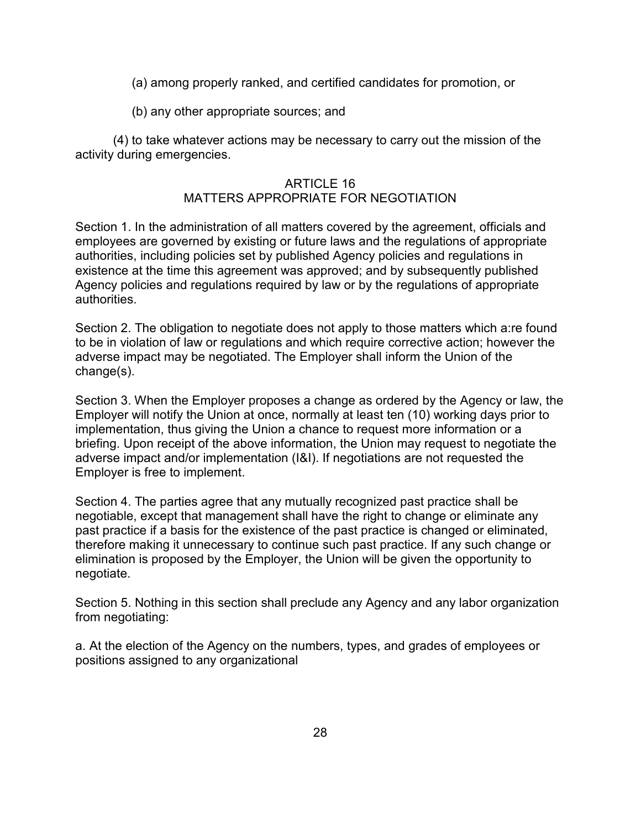(a) among properly ranked, and certified candidates for promotion, or

(b) any other appropriate sources; and

(4) to take whatever actions may be necessary to carry out the mission of the activity during emergencies.

### ARTICLE 16

## MATTERS APPROPRIATE FOR NEGOTIATION

Section 1. In the administration of all matters covered by the agreement, officials and employees are governed by existing or future laws and the regulations of appropriate authorities, including policies set by published Agency policies and regulations in existence at the time this agreement was approved; and by subsequently published Agency policies and regulations required by law or by the regulations of appropriate authorities.

Section 2. The obligation to negotiate does not apply to those matters which a:re found to be in violation of law or regulations and which require corrective action; however the adverse impact may be negotiated. The Employer shall inform the Union of the change(s).

Section 3. When the Employer proposes a change as ordered by the Agency or law, the Employer will notify the Union at once, normally at least ten (10) working days prior to implementation, thus giving the Union a chance to request more information or a briefing. Upon receipt of the above information, the Union may request to negotiate the adverse impact and/or implementation (I&I). If negotiations are not requested the Employer is free to implement.

Section 4. The parties agree that any mutually recognized past practice shall be negotiable, except that management shall have the right to change or eliminate any past practice if a basis for the existence of the past practice is changed or eliminated, therefore making it unnecessary to continue such past practice. If any such change or elimination is proposed by the Employer, the Union will be given the opportunity to negotiate.

Section 5. Nothing in this section shall preclude any Agency and any labor organization from negotiating:

a. At the election of the Agency on the numbers, types, and grades of employees or positions assigned to any organizational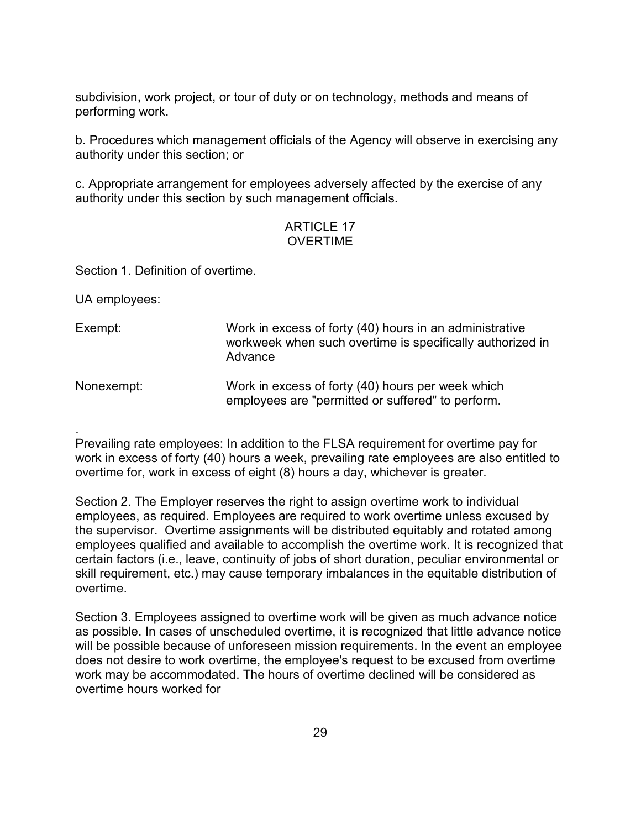subdivision, work project, or tour of duty or on technology, methods and means of performing work.

b. Procedures which management officials of the Agency will observe in exercising any authority under this section; or

c. Appropriate arrangement for employees adversely affected by the exercise of any authority under this section by such management officials.

## ARTICLE 17 OVERTIME

Section 1. Definition of overtime.

UA employees:

- Exempt: Work in excess of forty (40) hours in an administrative workweek when such overtime is specifically authorized in Advance
- Nonexempt: Work in excess of forty (40) hours per week which employees are "permitted or suffered" to perform.

. Prevailing rate employees: In addition to the FLSA requirement for overtime pay for work in excess of forty (40) hours a week, prevailing rate employees are also entitled to overtime for, work in excess of eight (8) hours a day, whichever is greater.

Section 2. The Employer reserves the right to assign overtime work to individual employees, as required. Employees are required to work overtime unless excused by the supervisor. Overtime assignments will be distributed equitably and rotated among employees qualified and available to accomplish the overtime work. It is recognized that certain factors (i.e., leave, continuity of jobs of short duration, peculiar environmental or skill requirement, etc.) may cause temporary imbalances in the equitable distribution of overtime.

Section 3. Employees assigned to overtime work will be given as much advance notice as possible. In cases of unscheduled overtime, it is recognized that little advance notice will be possible because of unforeseen mission requirements. In the event an employee does not desire to work overtime, the employee's request to be excused from overtime work may be accommodated. The hours of overtime declined will be considered as overtime hours worked for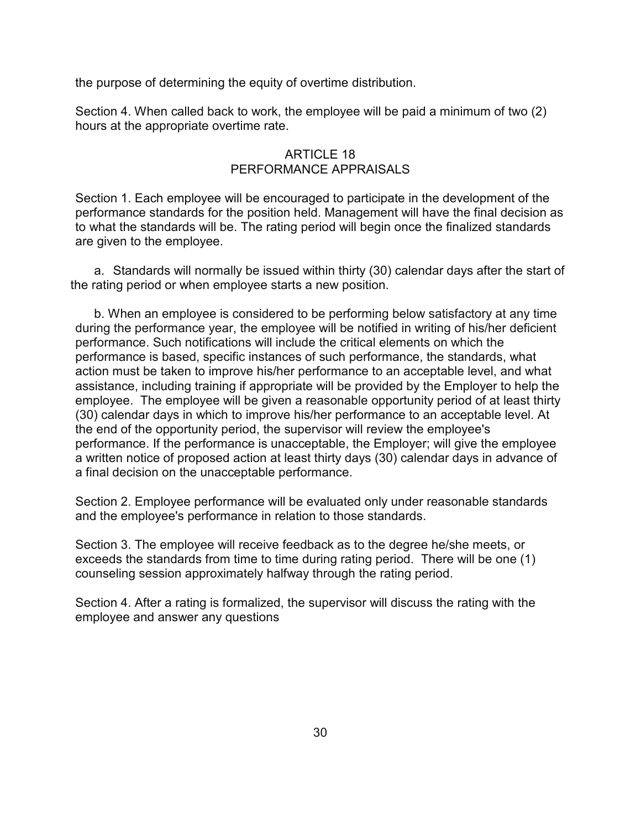the purpose of determining the equity of overtime distribution.

Section 4. When called back to work, the employee will be paid a minimum of two (2) hours at the appropriate overtime rate.

### ARTICLE 18 PERFORMANCE APPRAISALS

Section 1. Each employee will be encouraged to participate in the development of the performance standards for the position held. Management will have the final decision as to what the standards will be. The rating period will begin once the finalized standards are given to the employee.

a. Standards will normally be issued within thirty (30) calendar days after the start of the rating period or when employee starts a new position.

b. When an employee is considered to be performing below satisfactory at any time during the performance year, the employee will be notified in writing of his/her deficient performance. Such notifications will include the critical elements on which the performance is based, specific instances of such performance, the standards, what action must be taken to improve his/her performance to an acceptable level, and what assistance, including training if appropriate will be provided by the Employer to help the employee. The employee will be given a reasonable opportunity period of at least thirty (30) calendar days in which to improve his/her performance to an acceptable level. At the end of the opportunity period, the supervisor will review the employee's performance. If the performance is unacceptable, the Employer; will give the employee a written notice of proposed action at least thirty days (30) calendar days in advance of a final decision on the unacceptable performance.

Section 2. Employee performance will be evaluated only under reasonable standards and the employee's performance in relation to those standards.

Section 3. The employee will receive feedback as to the degree he/she meets, or exceeds the standards from time to time during rating period. There will be one (1) counseling session approximately halfway through the rating period.

Section 4. After a rating is formalized, the supervisor will discuss the rating with the employee and answer any questions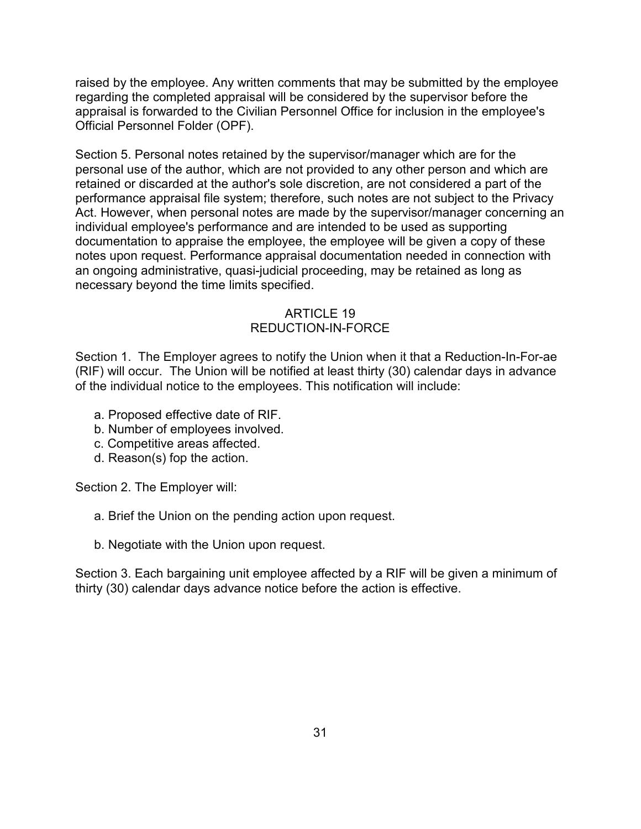raised by the employee. Any written comments that may be submitted by the employee regarding the completed appraisal will be considered by the supervisor before the appraisal is forwarded to the Civilian Personnel Office for inclusion in the employee's Official Personnel Folder (OPF).

Section 5. Personal notes retained by the supervisor/manager which are for the personal use of the author, which are not provided to any other person and which are retained or discarded at the author's sole discretion, are not considered a part of the performance appraisal file system; therefore, such notes are not subject to the Privacy Act. However, when personal notes are made by the supervisor/manager concerning an individual employee's performance and are intended to be used as supporting documentation to appraise the employee, the employee will be given a copy of these notes upon request. Performance appraisal documentation needed in connection with an ongoing administrative, quasi-judicial proceeding, may be retained as long as necessary beyond the time limits specified.

## ARTICLE 19 REDUCTION-IN-FORCE

Section 1. The Employer agrees to notify the Union when it that a Reduction-In-For-ae (RIF) will occur. The Union will be notified at least thirty (30) calendar days in advance of the individual notice to the employees. This notification will include:

- a. Proposed effective date of RIF.
- b. Number of employees involved.
- c. Competitive areas affected.
- d. Reason(s) fop the action.

Section 2. The Employer will:

- a. Brief the Union on the pending action upon request.
- b. Negotiate with the Union upon request.

Section 3. Each bargaining unit employee affected by a RIF will be given a minimum of thirty (30) calendar days advance notice before the action is effective.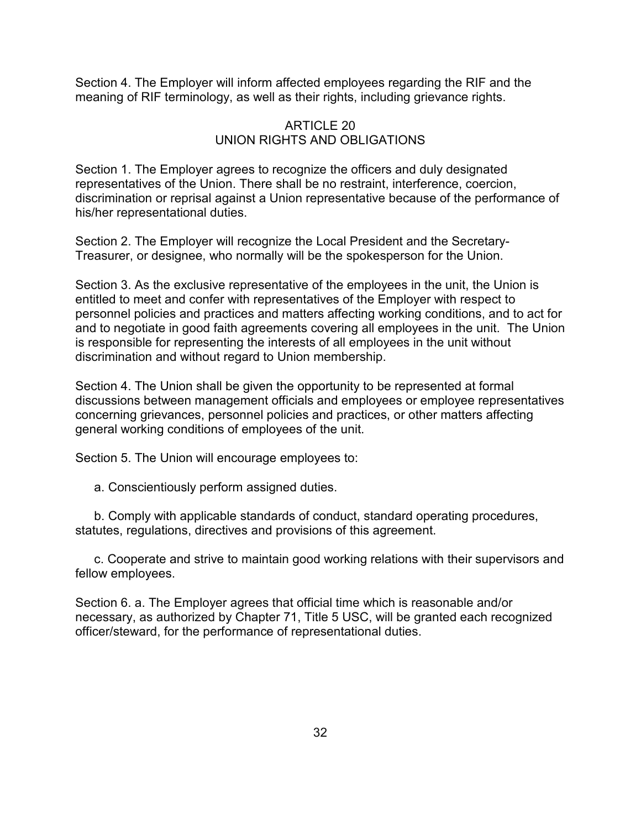Section 4. The Employer will inform affected employees regarding the RIF and the meaning of RIF terminology, as well as their rights, including grievance rights.

#### ARTICLE 20 UNION RIGHTS AND OBLIGATIONS

Section 1. The Employer agrees to recognize the officers and duly designated representatives of the Union. There shall be no restraint, interference, coercion, discrimination or reprisal against a Union representative because of the performance of his/her representational duties.

Section 2. The Employer will recognize the Local President and the Secretary-Treasurer, or designee, who normally will be the spokesperson for the Union.

Section 3. As the exclusive representative of the employees in the unit, the Union is entitled to meet and confer with representatives of the Employer with respect to personnel policies and practices and matters affecting working conditions, and to act for and to negotiate in good faith agreements covering all employees in the unit. The Union is responsible for representing the interests of all employees in the unit without discrimination and without regard to Union membership.

Section 4. The Union shall be given the opportunity to be represented at formal discussions between management officials and employees or employee representatives concerning grievances, personnel policies and practices, or other matters affecting general working conditions of employees of the unit.

Section 5. The Union will encourage employees to:

a. Conscientiously perform assigned duties.

b. Comply with applicable standards of conduct, standard operating procedures, statutes, regulations, directives and provisions of this agreement.

c. Cooperate and strive to maintain good working relations with their supervisors and fellow employees.

Section 6. a. The Employer agrees that official time which is reasonable and/or necessary, as authorized by Chapter 71, Title 5 USC, will be granted each recognized officer/steward, for the performance of representational duties.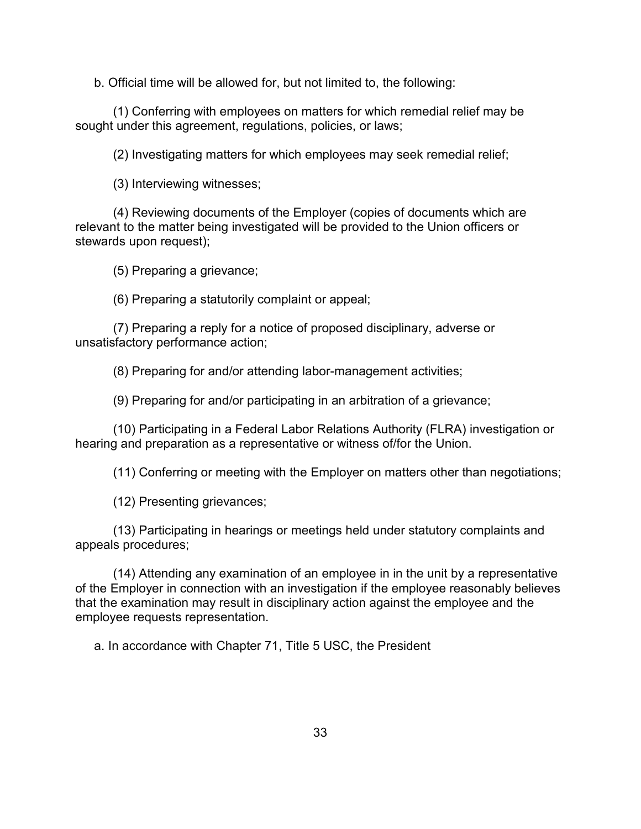b. Official time will be allowed for, but not limited to, the following:

(1) Conferring with employees on matters for which remedial relief may be sought under this agreement, regulations, policies, or laws;

(2) Investigating matters for which employees may seek remedial relief;

(3) Interviewing witnesses;

(4) Reviewing documents of the Employer (copies of documents which are relevant to the matter being investigated will be provided to the Union officers or stewards upon request);

(5) Preparing a grievance;

(6) Preparing a statutorily complaint or appeal;

(7) Preparing a reply for a notice of proposed disciplinary, adverse or unsatisfactory performance action;

(8) Preparing for and/or attending labor-management activities;

(9) Preparing for and/or participating in an arbitration of a grievance;

(10) Participating in a Federal Labor Relations Authority (FLRA) investigation or hearing and preparation as a representative or witness of/for the Union.

(11) Conferring or meeting with the Employer on matters other than negotiations;

(12) Presenting grievances;

(13) Participating in hearings or meetings held under statutory complaints and appeals procedures;

(14) Attending any examination of an employee in in the unit by a representative of the Employer in connection with an investigation if the employee reasonably believes that the examination may result in disciplinary action against the employee and the employee requests representation.

a. In accordance with Chapter 71, Title 5 USC, the President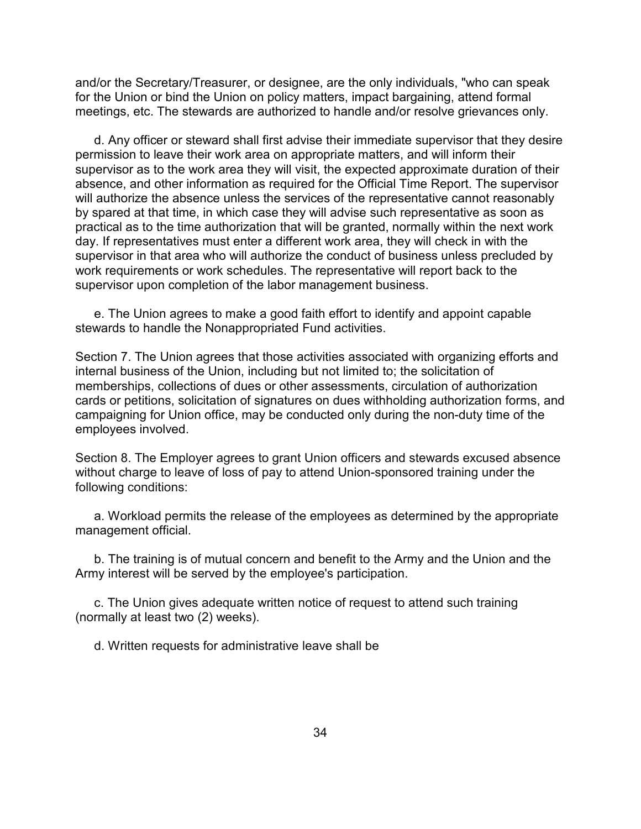and/or the Secretary/Treasurer, or designee, are the only individuals, "who can speak for the Union or bind the Union on policy matters, impact bargaining, attend formal meetings, etc. The stewards are authorized to handle and/or resolve grievances only.

d. Any officer or steward shall first advise their immediate supervisor that they desire permission to leave their work area on appropriate matters, and will inform their supervisor as to the work area they will visit, the expected approximate duration of their absence, and other information as required for the Official Time Report. The supervisor will authorize the absence unless the services of the representative cannot reasonably by spared at that time, in which case they will advise such representative as soon as practical as to the time authorization that will be granted, normally within the next work day. If representatives must enter a different work area, they will check in with the supervisor in that area who will authorize the conduct of business unless precluded by work requirements or work schedules. The representative will report back to the supervisor upon completion of the labor management business.

e. The Union agrees to make a good faith effort to identify and appoint capable stewards to handle the Nonappropriated Fund activities.

Section 7. The Union agrees that those activities associated with organizing efforts and internal business of the Union, including but not limited to; the solicitation of memberships, collections of dues or other assessments, circulation of authorization cards or petitions, solicitation of signatures on dues withholding authorization forms, and campaigning for Union office, may be conducted only during the non-duty time of the employees involved.

Section 8. The Employer agrees to grant Union officers and stewards excused absence without charge to leave of loss of pay to attend Union-sponsored training under the following conditions:

a. Workload permits the release of the employees as determined by the appropriate management official.

b. The training is of mutual concern and benefit to the Army and the Union and the Army interest will be served by the employee's participation.

c. The Union gives adequate written notice of request to attend such training (normally at least two (2) weeks).

d. Written requests for administrative leave shall be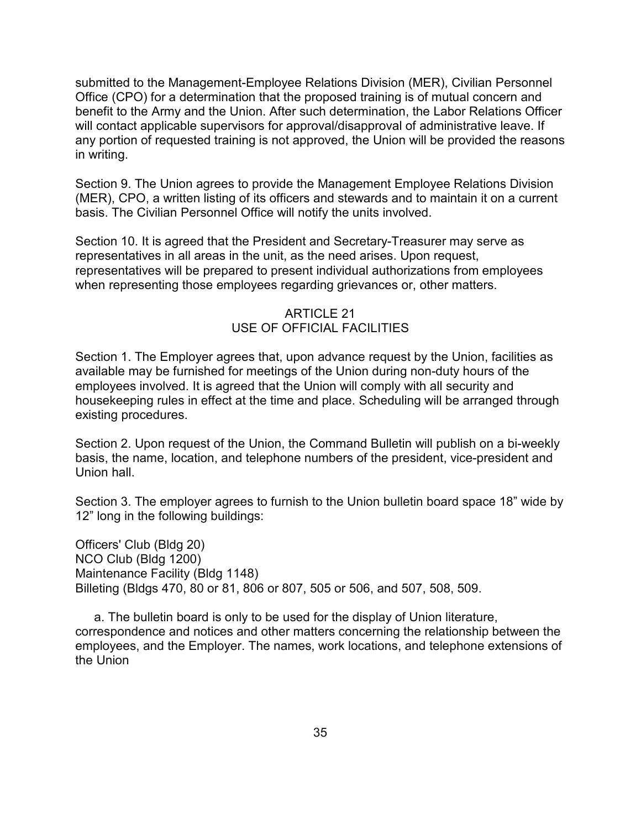submitted to the Management-Employee Relations Division (MER), Civilian Personnel Office (CPO) for a determination that the proposed training is of mutual concern and benefit to the Army and the Union. After such determination, the Labor Relations Officer will contact applicable supervisors for approval/disapproval of administrative leave. If any portion of requested training is not approved, the Union will be provided the reasons in writing.

Section 9. The Union agrees to provide the Management Employee Relations Division (MER), CPO, a written listing of its officers and stewards and to maintain it on a current basis. The Civilian Personnel Office will notify the units involved.

Section 10. It is agreed that the President and Secretary-Treasurer may serve as representatives in all areas in the unit, as the need arises. Upon request, representatives will be prepared to present individual authorizations from employees when representing those employees regarding grievances or, other matters.

#### ARTICLE 21 USE OF OFFICIAL FACILITIES

Section 1. The Employer agrees that, upon advance request by the Union, facilities as available may be furnished for meetings of the Union during non-duty hours of the employees involved. It is agreed that the Union will comply with all security and housekeeping rules in effect at the time and place. Scheduling will be arranged through existing procedures.

Section 2. Upon request of the Union, the Command Bulletin will publish on a bi-weekly basis, the name, location, and telephone numbers of the president, vice-president and Union hall.

Section 3. The employer agrees to furnish to the Union bulletin board space 18" wide by 12" long in the following buildings:

Officers' Club (Bldg 20) NCO Club (Bldg 1200) Maintenance Facility (Bldg 1148) Billeting (Bldgs 470, 80 or 81, 806 or 807, 505 or 506, and 507, 508, 509.

a. The bulletin board is only to be used for the display of Union literature, correspondence and notices and other matters concerning the relationship between the employees, and the Employer. The names, work locations, and telephone extensions of the Union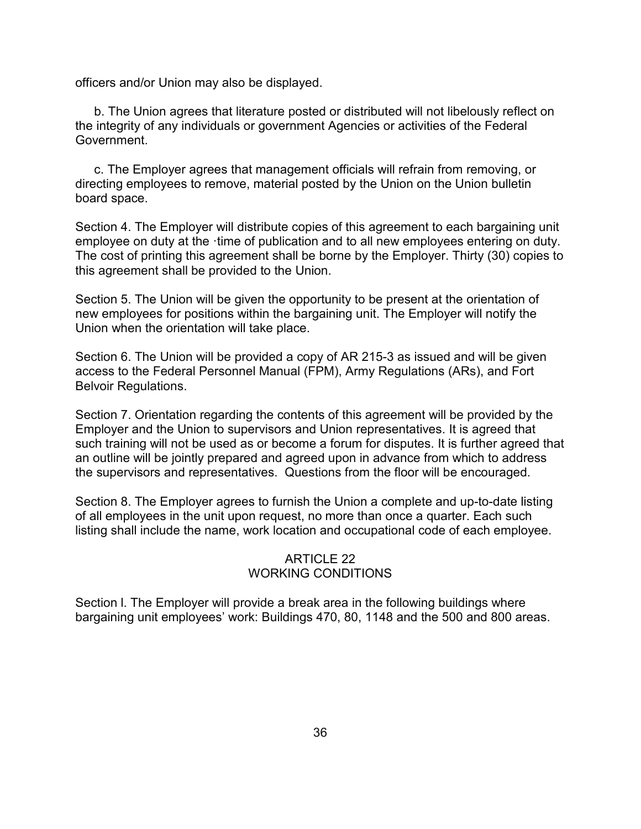officers and/or Union may also be displayed.

b. The Union agrees that literature posted or distributed will not libelously reflect on the integrity of any individuals or government Agencies or activities of the Federal Government.

c. The Employer agrees that management officials will refrain from removing, or directing employees to remove, material posted by the Union on the Union bulletin board space.

Section 4. The Employer will distribute copies of this agreement to each bargaining unit employee on duty at the ·time of publication and to all new employees entering on duty. The cost of printing this agreement shall be borne by the Employer. Thirty (30) copies to this agreement shall be provided to the Union.

Section 5. The Union will be given the opportunity to be present at the orientation of new employees for positions within the bargaining unit. The Employer will notify the Union when the orientation will take place.

Section 6. The Union will be provided a copy of AR 215-3 as issued and will be given access to the Federal Personnel Manual (FPM), Army Regulations (ARs), and Fort Belvoir Regulations.

Section 7. Orientation regarding the contents of this agreement will be provided by the Employer and the Union to supervisors and Union representatives. It is agreed that such training will not be used as or become a forum for disputes. It is further agreed that an outline will be jointly prepared and agreed upon in advance from which to address the supervisors and representatives. Questions from the floor will be encouraged.

Section 8. The Employer agrees to furnish the Union a complete and up-to-date listing of all employees in the unit upon request, no more than once a quarter. Each such listing shall include the name, work location and occupational code of each employee.

## ARTICLE 22 WORKING CONDITIONS

Section l. The Employer will provide a break area in the following buildings where bargaining unit employees' work: Buildings 470, 80, 1148 and the 500 and 800 areas.